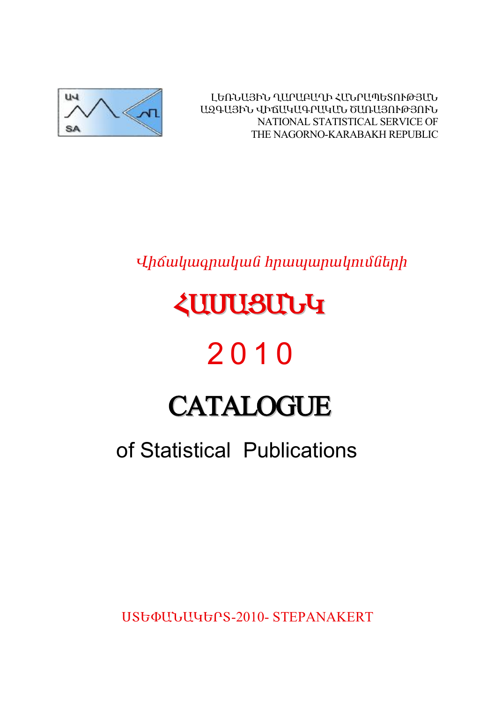

ԼԵՌՆԱՅԻՆ ՂԱՐԱԲԱՂԻ ՀԱՆՐԱՊԵՏՈՒԹՅԱՆ ԱԶԳԱՅԻՆ ՎԻճԱԿԱԳՐԱԿԱՆ ԾԱՌԱՅՈՒԹՅՈՒՆ NATIONAL STATISTICAL SERVICE OF THE NAGORNO-KARABAKH REPUBLIC

Uhճակագրական hրապարակումների

# *<u><u><b>ZUUUSUUG</u>*</u>

# 2010

# **CATALOGUE**

# of Statistical Publications

**USGOULJUGGPS-2010- STEPANAKERT**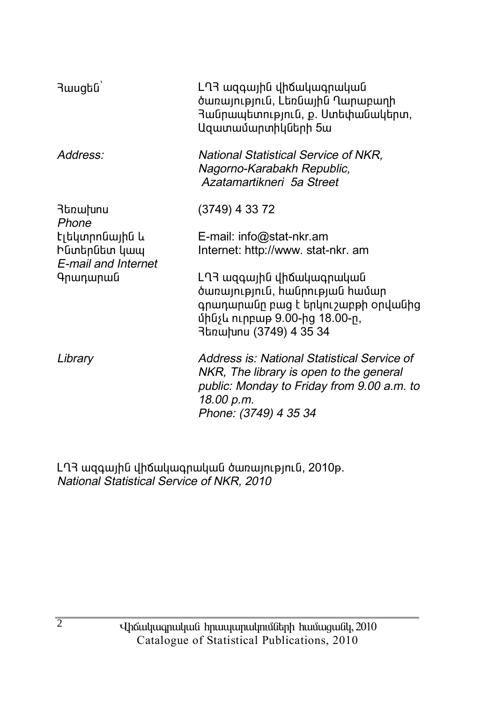| 3wugbū                                                | ԼՂՅ ազգային վիճակագրական<br>ծառայություն, Լեռնային Ղարաբաղի<br>Յանրապետություն, ք. Ստեփանակերտ,<br>Ազատամարտիկների 5ա                                                       |
|-------------------------------------------------------|-----------------------------------------------------------------------------------------------------------------------------------------------------------------------------|
| Address:                                              | National Statistical Service of NKR,<br>Nagorno-Karabakh Republic,<br>Azatamartikneri 5a Street                                                                             |
| Յեռախոս<br>Phone                                      | (3749) 4 33 72                                                                                                                                                              |
| Էլեկտրոնային և<br>Ինտերնետ կապ<br>E-mail and Internet | E-mail: info@stat-nkr.am<br>Internet: http://www. stat-nkr. am                                                                                                              |
| Գրադարան                                              | LՂ3 ազգային վիճակագրական<br>ծառայություն, հանրության համար<br>գրադարանը բաց է երկուշաբթի օրվանից<br>մինչև ուրբաթ 9.00-ից 18.00-ր,<br>3եռախոս (3749) 4 35 34                 |
| Library                                               | Address is: National Statistical Service of<br>NKR, The library is open to the general<br>public: Monday to Friday from 9.00 a.m. to<br>18.00 p.m.<br>Phone: (3749) 4 35 34 |

LՂՅ ազգային վիճակագրական ծառայություն, 2010թ.<br>National Statistical Service of NKR, 2010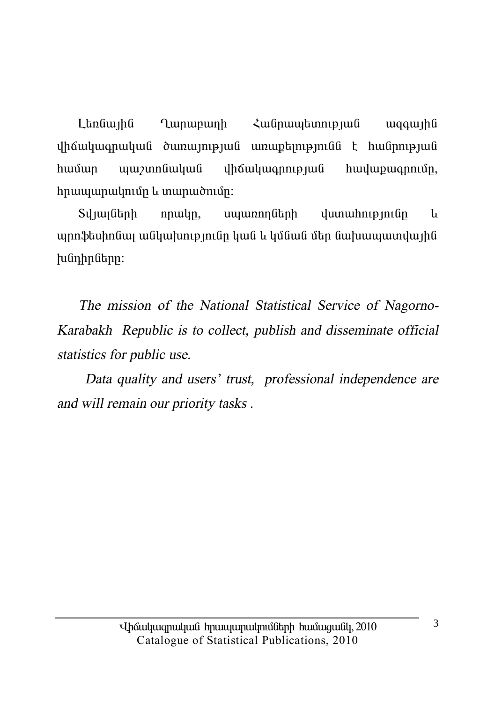Landwiha **Lunupunh** Հանոապետության waawiha  $\psi$ www.mngmyung uhowywannyung hwywannun. hwuun hրապարակումը և տարածումը:

Տվյայների  $nmu$ ln, սպառողների  $\mu$ um $\mu$ hn
up  $\mu$ **u** պրոֆեսիոնալ անկախությունը կան և կմնան մեր նախապատվային huunhnutnn:

The mission of the National Statistical Service of Nagorno-Karabakh Republic is to collect, publish and disseminate official statistics for public use.

Data quality and users' trust, professional independence are and will remain our priority tasks.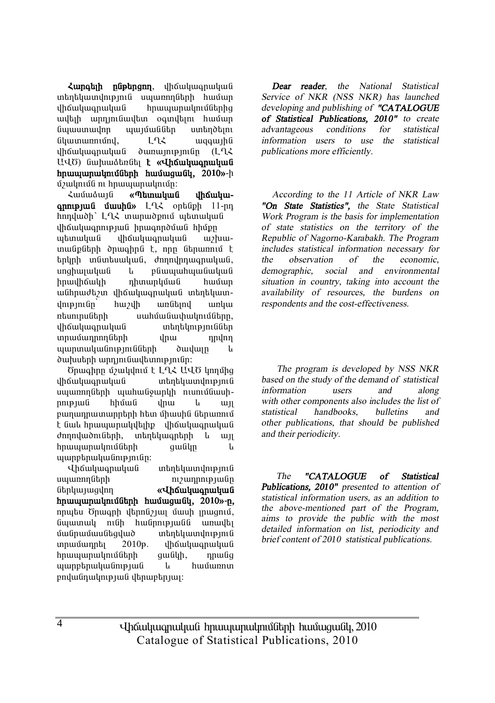*<u>Zunatih</u> nûptingin, dháwwanwwwG* տեղեկատվություն սպառողների համար ihốuiliuonuliui hnuuiunulinijűbnha uultuh unniniluultun oamiltun huuluin նաաստավոր աայմաններ ստեղծելու  $\lim_{u \to 0}$   $\lim_{u \to 0}$   $\lim_{u \to 0}$   $\lim_{u \to 0}$   $\lim_{u \to 0}$   $\lim_{u \to 0}$   $\lim_{u \to 0}$   $\lim_{u \to 0}$   $\lim_{u \to 0}$   $\lim_{u \to 0}$   $\lim_{u \to 0}$   $\lim_{u \to 0}$   $\lim_{u \to 0}$   $\lim_{u \to 0}$   $\lim_{u \to 0}$   $\lim_{u \to 0}$   $\lim_{u \to 0}$   $\lim_{u \to 0}$   $\lim_{u$ ihauluu uluu dunuun uluun (LLL U40) նախաձեռնել **է «Վիճակագրական hnuuunuubnuuttah huuuuuuttu. 2010**»-h u3uudhuu ah haduunaan kan dhaan dhaha dhaha dhaha dhaha dhaha dhaha ah aduu dhaha dhaha ah aduu dhaha dhaha dh

**¿**můnámí «Պետական iháuluu**annipjui úwuhú»** L-L< ontingh 11-nn hոդվածի` ԼՂՀ տարածքում պետական վիճակագրության իրագործման hիմթը ubunuluu dhauluuanuluua uzhuuտանքների ծրագիրն է, որը ներառում է tnynh in Gintu wyndi, den nynnin man wyndi, unghuyuyuu u püwuyuhuyuu unghuyuu u իրավիճակի դիտարկման համար անհրաժեշտ վիճակագրական տեղեկատվությունը՝ հաշվի առնելով առկա ntuninu Gtinh uuhuu Guuhuu uuhuu Tafabin, dhճակագոական տեղեկություններ ïñ³Ù³¹ñáÕÝ»ñÇ íñ³ ¹ñíáÕ այարտականությունների ծավայր և ծախսերի արդյունավետությունը:

Ծրագիրը մշակվում է L-L-Հ U-LԾ կողմից <u>վիճակագրական</u> տեղեկատվություն uyunnnuth uyuhwu iyunla nunuutuuhnne juli hhúw i yhu kun pաղադրատարրերի hետ միասին ներառում t նաև հրապարակվելիք վիճակագրական dnnnywdni Gtph, intintywontinh li wi hnwww.mwlmuuthin.htm owling u ujunpbnuyuūnipjniūn:

Վիճակագրական տեղեկատվություն  $u$ u $u$ unnn $\tilde{u}$ thh maxamaning hulunnang kabasang mayamaning hulun Ý»ñϳ۳óíáÕ **§ìÇ׳ϳ·ñ³Ï³Ý Ññ³å³ñ³ÏáõÙÝ»ñÇ Ñ³Ù³ó³ÝÏ, 2010¦-Á,** nnutu Önwanh dtnnu31 un uuuh mugnui, նպատակ ունի հանրությանն առավել uwinwuwikquwo mtntywwynte innuunntunntu 2010<sup>p</sup>. ihauluunnuuluu hnwwwnwynuathh qwayh, nnwag  $u$ արբերականության և hամառոտ  $p$ ովանդակության վերաբերյալ:

*Dear reader, the National Statistical Service of NKR (NSS NKR) has launched developing and publishing of "CATALOGUE of Statistical Publications, 2010" to create advantageous conditions for statistical information users to use the statistical publications more efficiently.* 

*According to the 11 Article of NKR Law "On State Statistics", the State Statistical Work Program is the basis for implementation of state statistics on the territory of the Republic of Nagorno-Karabakh. The Program includes statistical information necessary for the observation of the economic, demographic, social and environmental situation in country, taking into account the availability of resources, the burdens on respondents and the cost-effectiveness.* 

 *The program is developed by NSS NKR based on the study of the demand of statistical information users and along with other components also includes the list of statistical handbooks, bulletins and other publications, that should be published and their periodicity.* 

*The "CATALOGUE of Statistical Publications, 2010" presented to attention of statistical information users, as an addition to the above-mentioned part of the Program, aims to provide the public with the most detailed information on list, periodicity and brief content of <sup>20</sup>1<sup>0</sup> statistical publications.* 

Uhauluugnuluu hnuuunulmuumulinh huuuquuul, 2010 Catalogue of Statistical Publications, 2010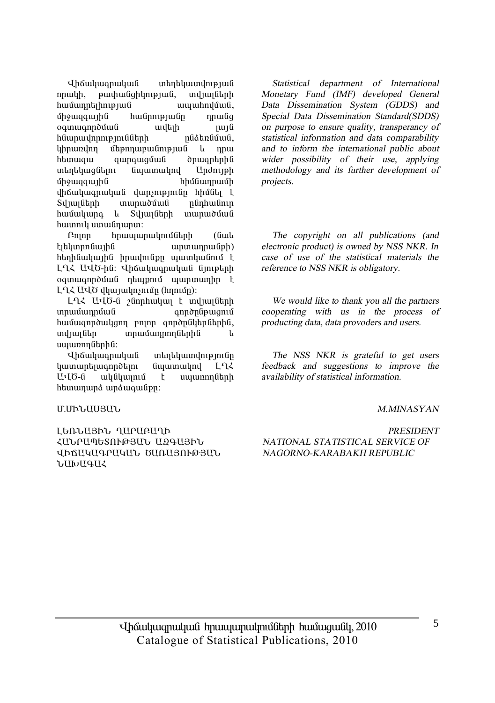Վիճակագրական տեղեկատվության nnwyh, pwyhwaghynyayua, mylwyathh hամադրելիության ապահովման, umquaquing hulinnipiulin nnuliq oqunuqnpdûuli uyah qurd hնարավորությունների pu nathabang lıhnundnn utənnun ulinlən uli başlama htunwqw qwnqwquua dhuqntnhu untin til anglikan bilang til en beste kan bilang bilang bilang bilang bilang bilang bilang bilang bilang bila uman unduring the summan and the summan of the summan of the summan of the summan of the summan of the summan o ihauluuanuluua ilunsnipinian hhuatti t Syluyuthh munuoutuu nunhuutin hwuuuuna u Sylwluun munuduu huunnlu umuu inunun:

 $P$ nnn hnwwwnwynuntaith (Gwy <u>էլեկտրոնային</u> արտադրանքի) htinhuwunhu hnuuniup www. LLZ UUO-hū: Uhowywanwywa Giniptinh oquuqnpduua ntupnuu uunuunhn t LLK UUÖ yyuyuyning (hnniun):

LLX UUO-G 2Gnnhwyw t wylwigthh ïñ³Ù³¹ñÙ³Ý ·áñÍÁÝóóáõÙ hwuwqnpdwyqnn pninn qnpdputhputhui, ing in in in in in the material in the material in the material in the material in the material in the materia uwww.muthhu:

Վիճակագրական տեղեկատվությունը  $\lim_{x\to a}$  in Eq. (in the functional in Eq. ԱՎԾ-ն ակնկայում է սպառողների htunununa unauquuan:

#### Մ.ՄԻՆԱՍՅԱՆ

LԵՌՆԱՅԻՆ ՂԱՐԱՔԱՂԻ ՀԱՆՐԱՊԵՏՈՒԹՅԱՆ ԱԶԳԱՅԻՆ ՎԻճԱԿԱԳՐԱԿԱՆ ԾԱՌԱՅՈՒԹՅԱՆ **WHIPTI** 

*Statistical department of International Monetary Fund (IMF) developed General Data Dissemination System (GDDS) and Special Data Dissemination Standard(SDDS) on purpose to ensure quality, transperancy of statistical information and data comparability and to inform the international public about wider possibility of their use, applying methodology and its further development of projects.* 

*The copyright on all publications (and electronic product) is owned by NSS NKR. In case of use of the statistical materials the reference to NSS NKR is obligatory.* 

*We would like to thank you all the partners cooperating with us in the process of producting data, data provoders and users.* 

*The NSS NKR is grateful to get users feedback and suggestions to improve the availability of statistical information.* 

#### *M.MINASYAN*

#### *PRESIDENT NATIONAL STATISTICAL SERVICE OF NAGORNO-KARABAKH REPUBLIC*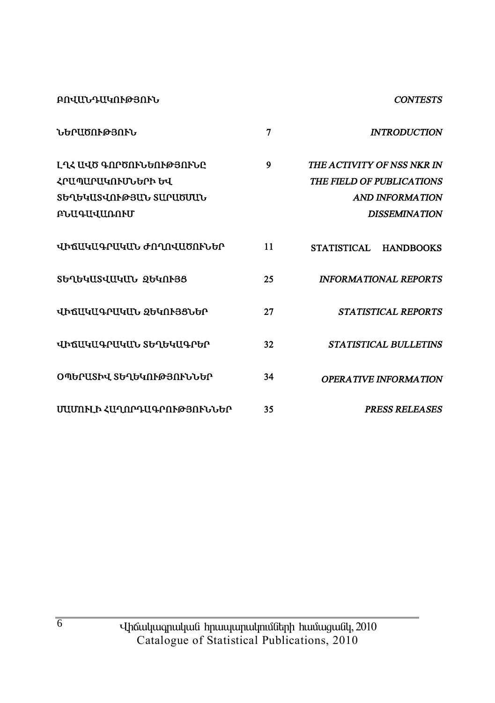**ԲՈՎԱՆԴԱԿՈՒԹՅՈՒՆ** 

#### **CONTESTS**

| ℩℩Ⴙ₧ℹ℔ႶՒԹՅՈՒՆ                                                                            | 7  | <b>INTRODUCTION</b>                                                                                       |
|------------------------------------------------------------------------------------------|----|-----------------------------------------------------------------------------------------------------------|
| ԼՂՀ ԱՎԾ ԳՈՐԾՈՒՆԵՈՒԹՅՈՒՆԸ<br>ՀՐԱՊԱՐԱԿՈՒՄՆԵՐԻ ԵՎ<br>ՏԵՂԵԿԱՏՎՈՒԹՅԱՆ ՏԱՐԱԾՄԱՆ<br>ԲՆԱԳԱՎԱՌՈՒՄ | 9  | THE ACTIVITY OF NSS NKR IN<br>THE FIELD OF PUBLICATIONS<br><b>AND INFORMATION</b><br><b>DISSEMINATION</b> |
| ՎԻՃԱԿԱԳՐԱԿԱՆ ԺՈՂՈՎԱԾՈՒՆԵՐ                                                                | 11 | STATISTICAL<br><b>HANDBOOKS</b>                                                                           |
| ՏԵՂԵԿԱՏՎԱԿԱՆ ՁԵԿՈՒՅՑ                                                                     | 25 | <b>INFORMATIONAL REPORTS</b>                                                                              |
| ՎԻճԱԿԱԳՐԱԿԱՆ ՋԵԿՈՒՅՑՆԵՐ                                                                  | 27 | STATISTICAL REPORTS                                                                                       |
| ՎԻՃԱԿԱԳՐԱԿԱՆ ՏԵՂԵԿԱԳՐԵՐ                                                                  | 32 | <b>STATISTICAL BULLETINS</b>                                                                              |
| ՕՊԵՐԱՏԻՎ ՏԵՂԵԿՈՒԹՅՈՒՆՆԵՐ                                                                 | 34 | OPERA TIVE INFORMA TION                                                                                   |
| ՄԱՄՈՒԼԻ ՀԱՂՈՐԴԱԳՐՈՒԹՅՈՒՆՆԵՐ                                                              | 35 | <b>PRESS RELEASES</b>                                                                                     |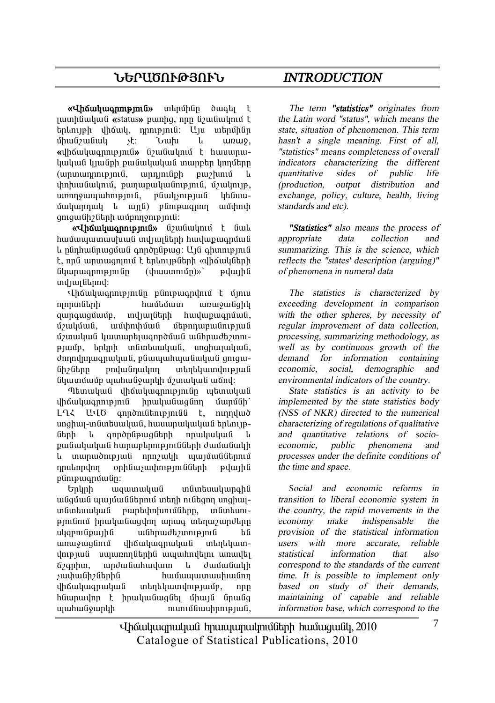# **ܺð²ÌàôÂÚàôÜ** *INTRODUCTION*

**«Վիճակագրություն»** տերմինը ծագել է <u>uunhüuluufi</u> «status» puinha, nnn fiziufiulinin F tınlını ph yhowy, nompinia: Uju intinunghan umuni shin di unture. **«***iháwiwannipiniû» G*/*wGwinii t hwwwnw*կական կյանքի քանակական տարբեր կողմերը (unununnnupinia, unniniaph pui) uni  $\n *uphuluu* (iuluqni)$ , punupulu (inipinia, úzulnip, unnnowwwhntpinta, pawyshipiwa ytaawumunnul le und) plintemann wuhnt qniquilh?litnh wupnnonipjnili:

**«Վիճակագրություն»** նշանակում է նաև  $h$ ամասատասեսան տվյայների հավաքաձոման lı nünhwünwquu qındnüpwq: U1G qhunupintü t, որն արտագոյում է երևույթների «վիճակների Ghunmann pin (hunmun (hunmun) pulu h und jun Gannd:

**in** in the photosphare is the upon the union of the union of the union of the union of the union of the union of the union of the union of the union of the union of the union of the union of the union of the union of the áÉáñïÝ»ñÇ ѳٻٳï ³é³ç³ÝóÇÏ aunouaunun, indiuiliah huidupuonuli. ushulung unghuhung upanungungung ú) unuluu yuunun biyuqn põuu uu uu binud biyun piwűp, tnunh műmtuwuluuli, unghwiwuluuli, danadanuonulaufi, pfiuunuhunufiulaufi ontou-Gh Gan undu Ghulm undu kundu ya Gh Li նկատմամբ պահանջարկի մշտական աճով:

Thanuluu Guhauluu annu min utunuluu Guhauluu Guhauluu Guhauluu Guhauluu Guhauluu Guhauluu Guhauluu Gu ihauyuu inug huuyuu dingan dunugh LL2 U40 qnpdnigtnipjnigg t, ninnyud unghuy-inuntuuluul, huuunpuluuluuli toliniyefitnh l<sub>u</sub> annðnfinuafitnh nnuluuluufi lu pանակական hարաբերությունների ժամանակի և տարածության որոշակի պայմաններում nnulnnulnn onhümsuuhnupintuudinh puluuhu  $\n *p*$ fin $i$  $\n *p*$ in $i$ 

 $\n *Unl*inh uqumuluufuqniqniqii$ uliguuli yunulikanın yaban baliqna yaqhuqun Guntu undun bahar undun bağlandır.  $p$ iniani hnuluuauqin unuq intinu undtin uliapni universitá a habárán a halán a halán a halán a halán a halán a halán a halán a halán a halán a halán<br>Névnapok unuowalinu uhauluuanuluuli intintuunվության սպառողներին ապահովելու առավել 67qphin, induluuhuuluun li duuluuluuli *s*ափանիշներին hամապատասխանող վիճակագրական տեղեկատվությամբ, որը hնարավոր է իրականացնել միայն նրանց www.ikikikung.com/www.ikikung.com/www.ikikung.com/www.ikikung.com/www.ikikung.com/www.ikikung.com/ww

*The term "statistics" originates from the Latin word "status", which means the state, situation of phenomenon. This term hasn't <sup>a</sup> single meaning. First of all, "statistics" means completeness of overall indicators characterizing the different quantitative sides of public life (production, output distribution and exchange, policy, culture, health, living standards and etc).* 

*"Statistics" also means the process of appropriate data collection and summarizing. This is the science, which reflects the "states' description (arguing)" of phenomena in numeral data* 

*The statistics is characterized by exceeding development in comparison with the other spheres, by necessity of regular improvement of data collection, processing, summarizing methodology, as well as by continuous growth of the demand for information containing economic, social, demographic and environmental indicators of the country.* 

*State statistics is an activity to be implemented by the state statistics body (NSS of NKR) directed to the numerical characterizing of regulations of qualitative and quantitative relations of socioeconomic, public phenomena and processes under the definite conditions of the time and space.* 

*Social and economic reforms in transition to liberal economic system in the country, the rapid movements in the economy make indispensable the provision of the statistical information users with more accurate, reliable statistical information that also correspond to the standards of the current time. It is possible to implement only based on study of their demands, maintaining of capable and reliable information base, which correspond to the* 

Uhauluugnuluu hnuuunulmuumulinh huuuquuul, 2010 Catalogue of Statistical Publications, 2010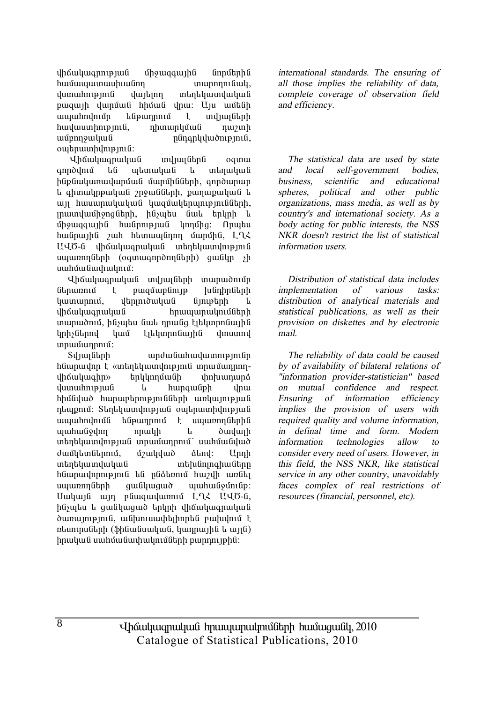yhauyuu ya ya Yayuqayan Ganustaha ѳٳå³ï³ë˳ÝáÕ ï³ñáÕáõݳÏ, dumuhnipinia dujann inantaumduduu pwqwih ywnuu hhuu ynw: Uju wutuh ապահովումը ենթադրում է տվյայների  $h$ uu $\mu$ uuun $h$ n $\mu$  $\beta$ ini $\alpha$ , n $\mu$ unun $\mu$ u $\alpha$ ilini $\alpha$  $u$ մբողջական ոնոգրկվածություն, owtnwmhdnipinia:

Վիճակագրական տվյալներն օգտա anndunu ta ultunuluu lu untinuluu ü hնpնակառավարման մարմինների, գործարար L ahmulmpuluuli mouliliah, punupuluuli L wij hwuwnwywywa ywquwytuythywnigiath, munduu ihong Gtph, husutu Gul thunh L  $\hat{u}$ họ $u$ qq $u$ <sub>l</sub>h $\hat{u}$  hu $\hat{u}$ nnphụ $\hat{u}$  lnnung  $\hat{u}$ hwնnwihն zwh htmww finn umuntha, L-Q2 UՎԾ-ն վիճակագրական տեղեկատվություն uyunnnun (oqunuqnnonnunh) quuunnnun sh uwhuuuuuhwuhuu:

Վիճակագրական տվյայների տարածումը ներառում է բազմաբնույթ խնդիրների  $\lim_{\delta}$  in interprobababa interpretativa interpretativa θ iha ilayaha dhaanaan dhaan dhaan dhaan dhaan dhaan dhaan dhaan dhaan dhaan dhaan dhaan dhaan dhaan dhaan dhaan munuðniu, hliyutu linli nnulig titunnnliuihli linh in lund tiblinn film in thounnd unuuunnuu:

Sy <sub>l</sub>uy Gtph both who wish wish wish the synthesis hնարավոր է «տեղեկատվություն տրամադրողվիճակագիր» երկկողմանի փոխադարձ i yunun in piud i hunqui in piu hhu Gujuò hunuptnnp mu Guth un quinp ju G ntupnui: Stntyuununpuu outnuunhunpuu ³å³ÑáíáõÙÝ »Ýó¹ñáõÙ ¿ ëå³éáÕÝ»ñÇÝ ang ang ang taon na kalangan na taon ng taon ng mga kalangang ng mga kalangang ng mga kalangang ng mga kalanga<br>Taon na manalangan na kalangan ng mga kalangang na managang na managang na managang na managang ng mga kalanga inthuundhip juli innuunnini uuhuululud dwuutuu Ghandi, unuutuud alnul: Unnh una in manga kabupatèn ing kacamatan di sebanjara kacamatan di sebanjara salah sahiji dari sebanjak di sebanja<br>Ini dialah ialah sahiji dalam kecamatan dalam kecamatan dalam kecamatan dalam kecamatan dalam kecamatan dalam hնարավորություն են ընձեռում hաշվի առնել uyunnnuthh quu iyuquo yuuhuu iyunniy: Uwywia win pawqwywnni LLL UU6-a, hնչպես և ցանկացած երկրի վիճակագրական ծառայություն, անխուսափելիորեն բախվում է  $n$ եսուրսների (ֆինանսական, կադրային և այլն) hnwhwG uwhuwGwhwynwGtph pwpnnyphG:

*international standards. The ensuring of all those implies the reliability of data, complete coverage of observation field and efficiency.* 

*The statistical data are used by state and local self-government bodies, business, scientific and educational spheres, political and other public organizations, mass media, as well as by country's and international society. As <sup>a</sup> body acting for public interests, the NSS NKR doesn't restrict the list of statistical information users.* 

*Distribution of statistical data includes implementation of various tasks: distribution of analytical materials and statistical publications, as well as their provision on diskettes and by electronic mail.* 

*The reliability of data could be caused by of availability of bilateral relations of "information provider-statistician" based on mutual confidence and respect. Ensuring of information efficiency implies the provision of users with required quality and volume information, in definal time and form. Modern information technologies allow to consider every need of users. However, in this field, the NSS NKR, like statistical service in any other country, unavoidably faces complex of real restrictions of resources (financial, personnel, etc).*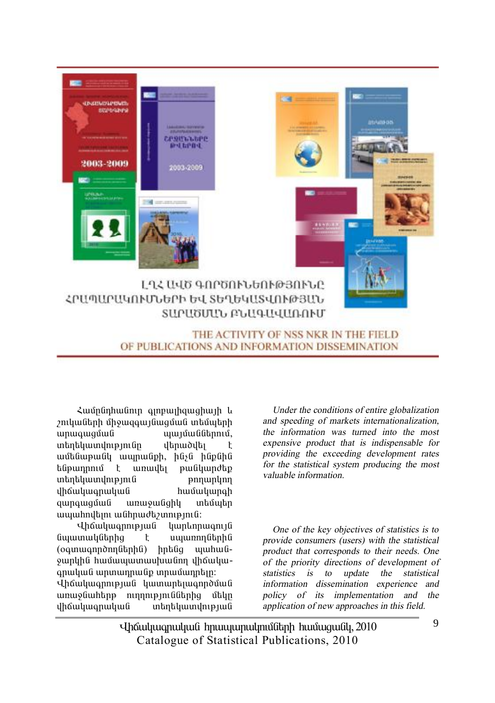

OF PUBLICATIONS AND INFORMATION DISSEMINATION

Համընդհանուր գլոբալիզացիայի և  $p$ ուկաների միջազգայնազման տեմաեոհ wnwqwquua www.hundi.com untan in Bindin in Karabaharan karaktera di adalah ini dialem kalendar di antara di antara di antara di antara wutu wulu wunun bin bili hupuhu túpwnnnu t wnwyt pw úywndtp unan barakun karatan di sama di sebagai di sebagai di sebagai di sebagai di sebagai di sebagai di sebagai di s վիճակագրական hամակարգի qunququuli unu qulqhy intuutin www.hndunu wuhnudbywnigjniu:

**Uháwywannyula ywntopwanya** Gwwww. (oquuuqnpdnnutiphu) hptug uyuhuu ywpyh Ghuun www.huun uphawywqnwywG wpwwnpwGp inpuitunphip:

Վիճակագրության կատարելագործման առաջնահերթ ուղղություններից մեկը<br>վիճակագրական տեղեկատվության ubnununupiyu

*Under the conditions of entire globalization and speeding of markets internationalization, the information was turned into the most expensive product that is indispensable for providing the exceeding development rates for the statistical system producing the most valuable information.* 

*One of the key objectives of statistics is to provide consumers (users) with the statistical product that corresponds to their needs. One of the priority directions of development of statistics is to update the statistical information dissemination experience and policy of its implementation and the application of new approaches in this field.* 

Uhauluugnuluu hnuuunulmuumulinh huuuquuul, 2010 Catalogue of Statistical Publications, 2010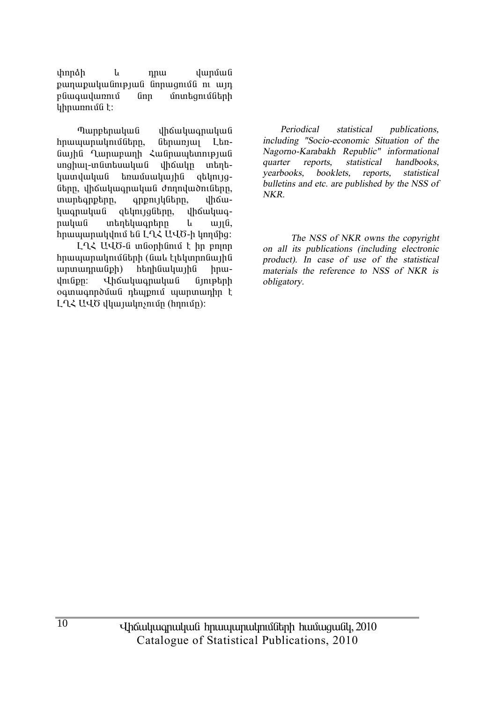*chnnah*  $\mathfrak{u}$ nnu վարման քաղաքականության նորացումն ու այդ բնագավառում **Gnn** մոտեցումների կիրառումն է:

Պարբերական dhowluuqnuuuu hnwwwnwyniu0thnn.  $6$ thnum $1$  $I$   $hn$ նային Ղարաբաղի Հանրապետության սոցիալ-տնտեսական dhowun untintiկատվական եռամսակային ցեկույցները, վիճակագրական ժողովածուները, muntanptnn, anpnı ılı Gann, uhow $l$ uuonuluu $f$ atynyaatnn. dhawywanuuuu wantuwantnn  $\mathbf{L}$  $u<sub>H</sub>$ hnwwwnwydnig ta LQ2 U40-h ynnung

ԼՂՀ ԱՎԾ-ն տնօրինում է իր բոլոր հրապարակումների (նաև էլեկտրոնային  $unununnu$  $)$  $\)$ htmhuwuhu hnw-*<u>Unduluunuuluu li</u>* dmfipn:  $ûn$ ogunugnnouug ntupnu uunununhn t ԼՂՀ ԱՎԾ վկայակոչումը (հղումը):

Periodical statistical publications. including "Socio-economic Situation of the Nagorno-Karabakh Republic" informational quarter reports. statistical handbooks vearbooks. booklets. reports. statistical bulletins and etc. are published by the NSS of NKR.

The NSS of NKR owns the convright on all its publications (including electronic product). In case of use of the statistical materials the reference to NSS of NKR is obligatory.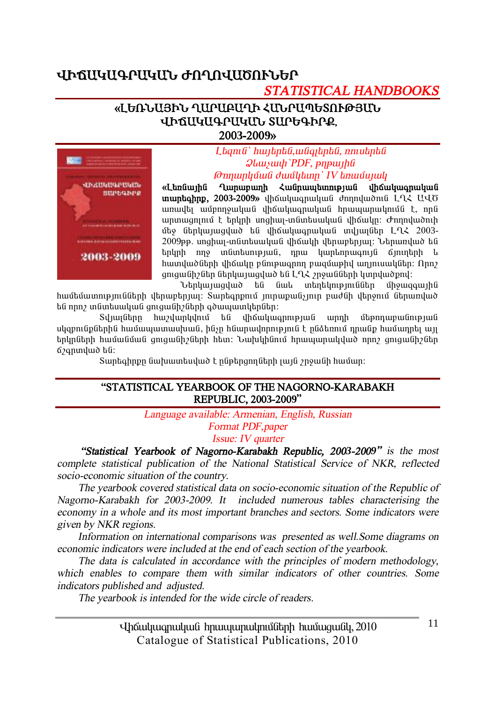# ՎԻճԱԿԱԳՐԱԿԱՆ ԺՈՂՈՎԱԾՈՒՆԵՐ

# **STATISTICAL HANDBOOKS**

#### «ԼԵՌՆԱՅԻՆ ՂԱՐԱԲԱՂԻ ՀԱՆՐԱՊԵՏՈՒԹՅԱՆ ՎԻճԱԿԱԳՐԱԿՄՆ ՏԱՐԵԳԻՐՔ. 2003-2009»



Ltanı G`hwjtpta, waqitpta, nnutpta **Qlauyuuh** PDF, pnpunha **Onnunluguli duughtum** IV tinuugunuli

«Languing Quinumunh Zugnumummining uhouhummuhu  $m$ untahnp. 2003-2009» uhowuhuunuutuu domnuudnua  $L_1$  UUO առավել ամբողջական վիճակազրական հրապարակումն է, որն  $unmu$ gnnuð ter undir magnar-undintum and andra dheim annatuð ter մեջ ներկայացված են վիճակագրական տվյայներ ԼՂՀ 2003-2009թթ. սոցիալ-տնտեսական վիճակի վերաբերյալ։ Ներառված են երկրի ողջ տնտեսության, դրա կարևորագույն ճյուղերի և հատվածների վիճակը բնութագրող բազմաթիվ աղյուսակներ։ Որոշ 

banyunungung ta Gul mantumpmudun ungungun համեմատությունների վերաբերյալ։ Տարեգրքում յուրաքանչյուր բաժնի վերջում ներառված են որոշ տնտեսական ցուցանիշների գծապատկերներ։

Տվյայները հաշվարկվում են վիճակագրության արդի մեթոդաբանության սկզբունթներին համապատասխան, ինչը հնարավորություն է ընձեռում դրանթ համադրել այլ երկոների համանման օուզանիշների հետ։ Նախկինում հոապարակված որըշ օուցանիշներ ά *z*qnund ω bū:

Տարեգիրքը նախատեսված է ընթերցողների լայն շրջանի համար:

#### "STATISTICAL YEARBOOK OF THE NAGORNO-KARABAKH REPUBLIC, 2003-2009"

Language available: Armenian, English, Russian

**Format PDF**, paper

Issue: IV quarter

"Statistical Yearbook of Nagorno-Karabakh Republic, 2003-2009" is the most complete statistical publication of the National Statistical Service of NKR, reflected socio-economic situation of the country.

The yearbook covered statistical data on socio-economic situation of the Republic of Nagorno-Karabakh for 2003-2009. It included numerous tables characterising the economy in a whole and its most important branches and sectors. Some indicators were given by NKR regions.

Information on international comparisons was presented as well. Some diagrams on economic indicators were included at the end of each section of the yearbook.

The data is calculated in accordance with the principles of modern methodology, which enables to compare them with similar indicators of other countries. Some indicators published and adjusted.

The yearbook is intended for the wide circle of readers.

Uh auhung ululu huung kana kana kung 2010 Catalogue of Statistical Publications, 2010

 $11$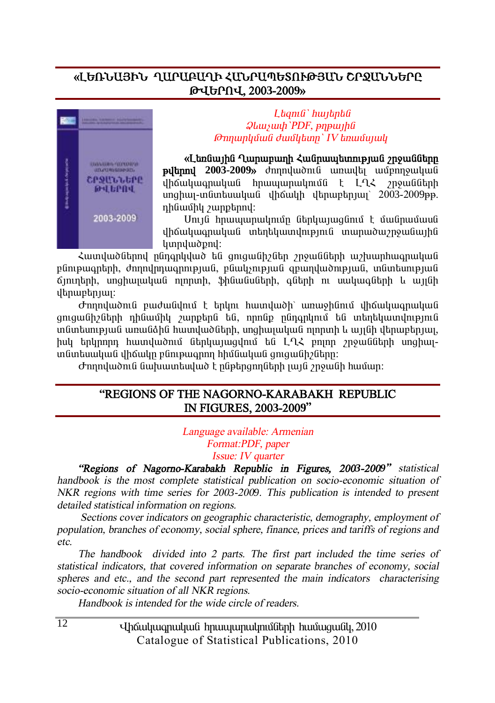## «ԼԵՌՆԱՅԻՆ ՂԱԲԱՔԱՂԻ ՀԱՆԲԱՊԵՏՈՒԹՅԱՆ ՇԲՋԱՆՆԵԲԸ **Âìºðàì, 2003-2009¦**



#### $L$ *banıli` hwibnbli*  $Q$ *luuyuuh* `PDF, *pηpwlld <i><u>∂nnunluʿŭuli ∂wiʿlıbınn` IV bnuyûunuli</u>*

#### «Langunha Qumununh **Հա**նոաաետության շոջանները

**Pultinnu** 2003-2009<sup>*s*</sup> dnnnul world with which we have i<br>in Sulu an alial din an an ainmeil an amacharacha dia television din Ann an ainmeil unghuu-inguntuuluug ilhouuh iltinuntuun 2003-2009 in. nhuuun buunptanul:

Unւյն hրապարակումը ներկայացնում է մանրամասն վիճակագրական տեղեկատվություն տարածաշրջանային lunnuluudpnul:

Հատվածներով ընդգրկված են ցուցանիշներ շրջանների աշխարհագրական pünipwantnh, ժողովրդագրության, բնակչության զբաղվածության, տնտեսության  $6$ յուղերի, սոցիայական ոյորտի, ֆինանսների, գների ու սակագների և այլնի dbnurbnuu:

Ժողովածուն բաժանվում է երկու հատվածի՝ առաջինում վիճակագրական qnıquu Gh2Gtmh nhuwahu zunpting ta, nnnap nangning ta wtintuwundniping  $i$ մնոեսության առանձին հատվածների, սոցիայական ոյորտի և այյնի վերաբերյայ hul tnunnn hwundwonu Gthuunwadnu ta LQ2 pnnn mowashin unghwiunguptung dhang ng memanan hhugung dang dahar.

 $\sigma$ nnnywðni Guyhuuntuyað t nýptngnnytinh jujú angulík huu an:

#### **"REGIONS OF THE NAGORNO-KARABAKH REPUBLIC IN FIGURES, 2003-2009"**

*Language available: Armenian Format:PDF, paper Issue: IV quarter* 

*"Regions of Nagorno-Karabakh Republic in Figures, 2003-2009" statistical handbook is the most complete statistical publication on socio-economic situation of NKR regions with time series for <sup>200</sup>3-2009. This publication is intended to present detailed statistical information on regions.* 

*Sections cover indicators on geographic characteristic, demography, employment of population, branches of economy, social sphere, finance, prices and tariffs of regions and etc.* 

*The handbook divided into 2 parts. The first part included the time series of statistical indicators, that covered information on separate branches of economy, social spheres and etc., and the second part represented the main indicators characterising socio-economic situation of all NKR regions.* 

*Handbook is intended for the wide circle of readers.*

Uhauluugnuluua hnuuuunulmuath huuuqualu, 2010 Catalogue of Statistical Publications, 2010

 $\overline{12}$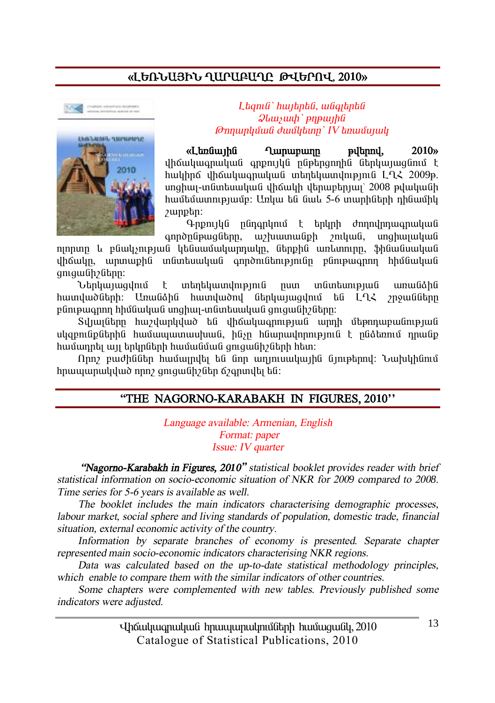# **§ÈºèÜ²ÚÆÜ Ô²ð²´²ÔÀ Âìºðàì« 2010¦**





 $L$ *tamû` hwitntû, wûaitntû*  $\mathcal{Q}$ *lauswh* ` *pnpwtha @nnunluvuli duulltunn' IV tinuuliquuli* 

**§È»éݳÛÇÝ Ô³ñ³µ³ÕÁ Ãí»ñáí, 2010¦** վիճակագրական գրքույկն ընթերգողին ներկայացնում է hwyhnő yhówywanwywa wtantywwynyejnia LQ2 2009p. unghuy-in funtuu yu fi yhouyh ytnuptin jun' 2008 pyuyufih hwutuunnyuun: Unyw tu Gwl 5-6 mwnhutnh nhuwuhy  $\mu$ unphn:

Գրքույկն ընդգրկում է երկրի ժողովրդագրական qnnðnūpwqūtnn, w/tuwnwu ph /nuquu mahwuuluuu

ninnun և eGwlisnieuwG litGuwuwuluunnwlin. GtnphG wnlwnnin, ShGwGwuluuG վիճակը, արտաթին տնտեսական գործունեությունը բնութագրող հիմնական gnigwüh fühn:

Ներկայացվում է տերեկատվություն ոստ տնտեսության առանձին hատվածների։ Առանձին hատվածով ներկայացվում են L9Հ շրջանները pünipwannn hhմնական unghwi-inնintuuluul gnigwühzütinn:

Sunun itan bu sunung yabé di dingkan kalan barah sung di bangkan baya di Sunung Karang Karang Karang Karang Ka uligeni Gpütinh Goliniya haya haya hang biliyin bilinin karan dan karan dan di dinin dine dine dine dine dine  $h$ ամադրել այլ երկրների համանման գուցանի $\delta$ ների հետ:

Nրn բաժիններ համայրվել են նոր աղյուսակային նյութերով։ Նախկինում hnwwwnwydwd nnn gmgwGh Gannya, thiù:

#### **"THE NAGORNO-KARABAKH IN FIGURES, 2010''**

*Language available: Armenian, English Format: paper Issue: IV quarter* 

 *"Nagorno-Karabakh in Figures, 2010" statistical booklet provides reader with brief statistical information on socio-economic situation of NKR for <sup>200</sup>9 compared to <sup>200</sup>8. Time series for 5-6 years is available as well.* 

*The booklet includes the main indicators characterising demographic processes, labour market, social sphere and living standards of population, domestic trade, financial situation, external economic activity of the country.* 

*Information by separate branches of economy is presented. Separate chapter represented main socio-economic indicators characterising NKR regions.* 

*Data was calculated based on the up-to-date statistical methodology principles, which enable to compare them with the similar indicators of other countries.* 

*Some chapters were complemented with new tables. Previously published some indicators were adjusted.* 

> Uhauluugnuluua hnuuuunulmuath huuuqualu, 2010 Catalogue of Statistical Publications, 2010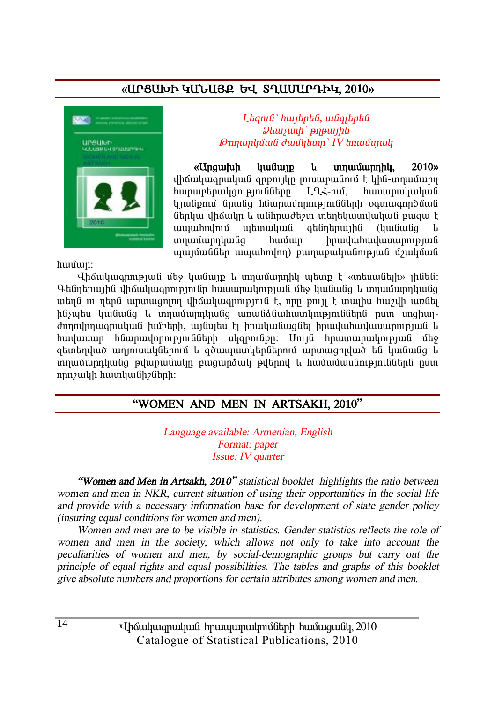# «UPSUI 4UbU32 by Squuuppy, 2010»



Lhanıli' hunbahli, wüqibahli  $Q$ *lausuah* ` pnp $Q$ *lausuah <u>Onnunyuuli duulytunn' IV tinuuliyuuli</u>* 

«Unawluh **humun**  $\mathbf{L}$ unnuuunnhu. 2010<sub>b</sub> վիճակագրական գրթույկը յուսաբանում է կին-տղամարդ hunuphnulanıpını Gülinn  $L$   $\sim$   $L$   $\sim$   $\sim$   $\sim$   $\sim$ hwwwnwlrwlrwli laulun banda hayun dan banda banda dan ban ներկա վիճակը և անիրաժեշտ տերեկատվական բացա է ապահովում պետական գենդերային (կանանց *unnuu* unnluu Ga hnwywhwywwwnnenwG huuun պայմաններ ապահովող) թաղաթականության մշակման

hwuun:

 $I$ իճակագոության մեջ կանայթ և տոամարդիկ աետք է «տեսանեյի» յինեն։ Գենդերային վիճակագրությունը հասարակության մեջ կանանց և տղամարդկանց տեղն ու դերն արտացոյող վիճակագրություն է, որը թույլ է տայիս հաշվի առնել ինչպես կանանց և տղամարդկանց առանձնահատկություններն ըստ սոցիալժողովրդագրական խմբերի, այնպես էլ իրականացնել իրավահավասարության և հավասար հնարավորությունների սկզբունքը։ Մույն հրատարակության մեջ ցետեղված աղյուսակներում և գծապատկերներում արտացոյված են կանանց և տղամարդկանց թվաթանակը բացարձակ թվերով և համամասնություններն ըստ որոշակի հատկանիշների:

#### "WOMEN AND MEN IN ARTSAKH, 2010"

Language available: Armenian, English Format: paper *Issue: IV quarter* 

"Women and Men in Artsakh. 2010" statistical booklet highlights the ratio between women and men in NKR, current situation of using their opportunities in the social life and provide with a necessary information base for development of state gender policy (insuring equal conditions for women and men).

Women and men are to be visible in statistics. Gender statistics reflects the role of women and men in the society, which allows not only to take into account the peculiarities of women and men, by social-demographic groups but carry out the principle of equal rights and equal possibilities. The tables and graphs of this booklet give absolute numbers and proportions for certain attributes among women and men.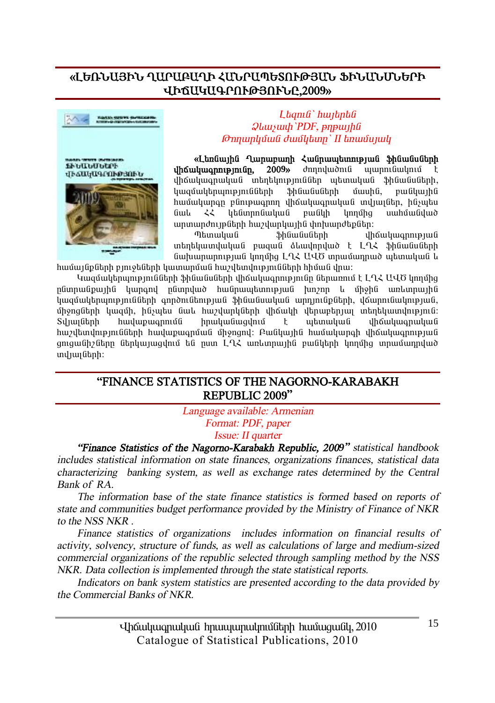#### **§ÈºèÜ²ÚÆÜ Ô²ð²´²ÔÆ вÜð²äºîàôÂÚ²Ü üÆÜ²ÜêܺðÆ ìÆÖ²Î²¶ðàôÂÚàôÜÀ,2009¦**



#### Fly prima was seen d HOGO ADD PLU UILAND



#### *L bamû` hunbnbû*  $Q$ *lauswah PDF*, *pnpwtha @nnunlutuli duutlum' II bnuutuuuli*

**§È»éݳÛÇÝ Ô³ñ³µ³ÕÇ Ð³Ýñ³å»ïáõÃÛ³Ý ýÇݳÝëÝ»ñÇ íháuluannipiniún, 2009**» *dnnnywðni* uywnnu aulini ihouluuonuluu i uhabliniemüüba uhinuluu 3hüugughah. bwaywbhnwnnennlugthah Shawayathah www.ha. pwaywuha hwuulungn punpwqnn yhowywqnwywa myuyutin, huywtu ݳ¨ ÐÐ Ï»ÝïñáݳϳÝ µ³ÝÏÇ ÏáÕÙÇó ë³ÑÙ³Ýí³Í ununundnı pütnh huzulunlun hü ihn huundtpütn:

Tahun ya Shûwûyû bin dhawkunan ku fi unantu undu bulanda islamdan bandar karakan banda yang banda dan banda yang banda dan banda dan banda dan band Guhuununnipjul ynnung LLK UUO innuuunnud ytunuyug u

 $h$ ամայնքների բյուջեների կատարման հաշվետվությունների հիման վրա։

Կազմակերպությունների ֆինանսների վիճակագրությունը ներառում է ԼՂՀ ԱՎԾ կողմից nGunnwGpwihG liwnand nGunnlwð hwGnwwbunntejwG hinzin k yhohG wnkunnwihG ․<br>Կազմակեոաությունների գործունեության ֆինանսական արդյունքների, վճարունակության, միջոցների կազմի, ինչպես նաև հաշվարկների վիճակի վերաբերյալ տեղեկատվություն։<br>Տվյայների հավաթագրումն հոականացվում է աետական վիճակագրական Sıl mı hulupmanın bir bilindin bir karalının bir yanan dan karanın bir karanın karanın karanın karanın karanın hwelbindnienni Gütnh hwilwpwani wa unandi: Բանկային hwi wunan dhawlwannienu G gnigwüh/ütinn ütnliwiwgylni tu nun L·Q. wnlinnwihü pwüytih ynnyhg innwywnnylwd und juy Gtph:

#### **"FINANCE STATISTICS OF THE NAGORNO-KARABAKH REPUBLIC 2009"**

*Language available: Armenian* 

*Format: PDF, paper*

*Issue: II quarter*

*"Finance Statistics of the Nagorno-Karabakh Republic, 2009" statistical handbook includes statistical information on state finances, organizations finances, statistical data characterizing banking system, as well as exchange rates determined by the Central Bank of RA.* 

*The information base of the state finance statistics is formed based on reports of state and communities budget performance provided by the Ministry of Finance of NKR to the NSS NKR .* 

*Finance statistics of organizations includes information on financial results of activity, solvency, structure of funds, as well as calculations of large and medium-sized commercial organizations of the republic selected through sampling method by the NSS NKR. Data collection is implemented through the state statistical reports.* 

*Indicators on bank system statistics are presented according to the data provided by the Commercial Banks of NKR.* 

> Uhauluugnuluua hnuuununulmuath huuuquall, 2010 Catalogue of Statistical Publications, 2010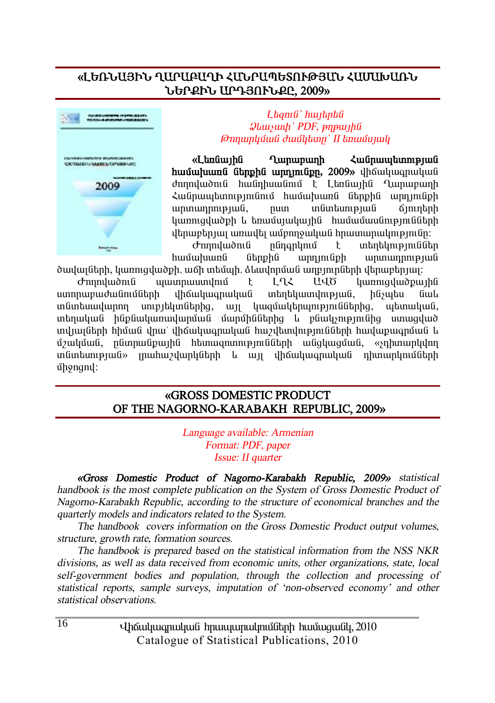### **§ÈºèÜ²ÚÆÜ Ô²ð²´²ÔÆ вÜð²äºîàôÂÚ²Ü Ð²Ø²Ê²èÜ ܺðøÆÜ ²ð¸ÚàôÜøÀ, 2009¦**



#### L*bamû` hwibnbû*  $Q$ *lauswah PDF*, pnpwiha *<i><u><del>*</u> $\theta$ mnunluiuli *duullum' II knuuluulu*</u></del>

«Ltngunha Qunununh **Lughung**tunn **huutuluung Gtpphg upppngpp, 2009**, qhoutuqpuquu dnnndwðni hw Gnhuw Gni t Langwiha Qunwnwnh Zwūnwytunnymuni hwuwtuwnu utphu wpninuph unnunnnnpuul, nun inlintunipuuli omintan կառուզվածքի և եռամսյակային hամամասնությունների danupan juli umula ung pangudi dan bilang pandar.

 $\sigma$ mnulwònia nananlinia t intintinipinia t hwuwhwung ներթին արդյունթի արտադրության ծավայների, կառուցվածթի, աճի տեմպի, ձևավորման աղբյուրների վերաբերյալ։

d mpuluonu quunpuunununu t LL< UUO yunniquuopuiha ստորաբաժանումների վիճակագրական տեղեկատվության, ինչպես նաև  $i$ մմաեսավարող սուբյեկտներից, այլ կազմակերպություններից, պետական, տեղական ինթնակառավարման մարմիններից և բնակչությունից ստացված ïíÛ³ÉÝ»ñÇ ÑÇÙ³Ý íñ³ª íÇ׳ϳ·ñ³Ï³Ý ѳßí»ïíáõÃÛáõÝÝ»ñÇ ѳí³ù³·ñÙ³Ý ¨ u32uyùwG, nGunnwGpwihG htunwgnunnipiniGGtnh wGgluyquwG, «snhunwnlyynn in Guntum pjulov in uhu zyuphan hang in dhawung manang na nanyin data n ÙÇçáóáí:

#### **§GROSS DOMESTIC PRODUCT**  OF THE NAGORNO-KARABAKH REPUBLIC, 2009»

*Language available: Armenian Format: PDF, paper Issue: II quarter* 

*§Gross Domestic Product of Nagorno-Karabakh Republic, 2009¦ statistical handbook is the most complete publication on the System of Gross Domestic Product of Nagorno-Karabakh Republic, according to the structure of economical branches and the quarterly models and indicators related to the System.* 

*The handbook covers information on the Gross Domestic Product output volumes, structure, growth rate, formation sources.* 

*The handbook is prepared based on the statistical information from the NSS NKR divisions, as well as data received from economic units, other organizations, state, local self-government bodies and population, through the collection and processing of statistical reports, sample surveys, imputation of 'non-observed economy' and other statistical observations.*

> Uhauluugnuluua hnuuununulmuath huuuquall, 2010 Catalogue of Statistical Publications, 2010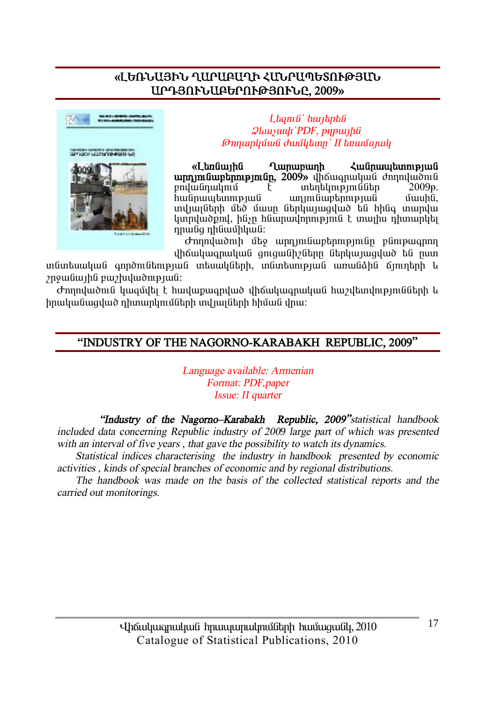# «ԼԵՌՆԱՅԻՆ ՂԱՐԱԲԱՂԻ ՀՄՆՐԱՊԵՏՈՒԹՅՄՆ ԱՐԴՅՈՒՆԱԲԵՐՈՒԹՅՈՒՆԸ, 2009»



Ltanı G'huntanta **Qlauyuuh** PDF, pnpunha **Թողարկման ժամկետը` II եռամսյակ** 

 $q$ unununh «I bolimhli  $\lambda$ unfinunuhinni puufi unnum Guntinnipun Gn, 2009» unduuqnuluud dunnuludnid թովանուսնում  $un$  in the internal in  $\ddot{\rm a}$  $2009<sub>B</sub>$ . F hwūnwwtmnnpnua  $unin$ նաբերության մասին. munun utah dinang terbah di menjadi membah menjadi menjadi menjadi menjadi menjadi menjadi menjadi menjadi men կտովածքով, ինչը հնարավորություն է տալիս դիտարկել որանց դինամիկան:

Ժողովածուի մեջ արդյունաբերությունը բնութագրող վիճակագրական ցուցանիշները ներկայացված են ըստ

տնտեսական գործունեության տեսակների, տնտեսության առանձին ճյուղերի և 2n9w Gw1hG pw2hulwomp1wG:

Ժողովածուն կազմվել է հավաքագրված վիճակագրական հաշվետվությունների և իրականացված դիտարկումների տվյայների հիման վրա։

# "INDUSTRY OF THE NAGORNO-KARABAKH REPUBLIC, 2009"

Language available: Armenian Format: PDF, paper Issue: II quarter

"Industry of the Nagorno-Karabakh Republic, 2009" statistical handbook included data concerning Republic industry of 2009 large part of which was presented with an interval of five years, that gave the possibility to watch its dynamics.

Statistical indices characterising the industry in handbook presented by economic activities, kinds of special branches of economic and by regional distributions.

The handbook was made on the basis of the collected statistical reports and the carried out monitorings.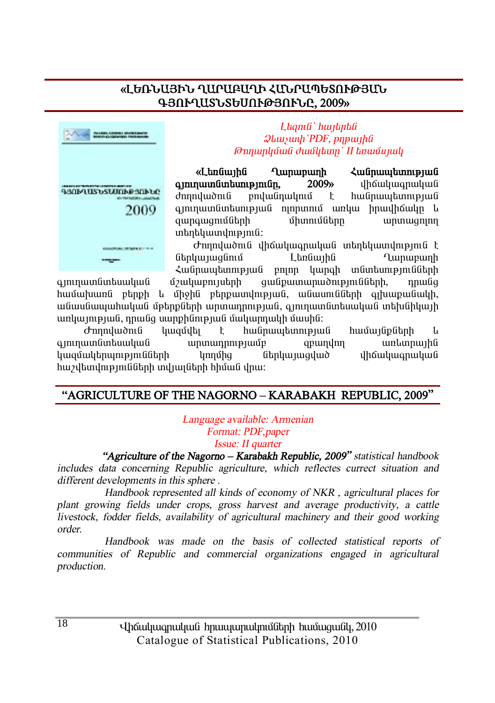# «ԼԵՌՆԱՅԻՆ ՂԱՐԱԲԱՂԻ ՀՄՆՐԱՊԵՏՈՒԹՅԱՆ **¶ÚàôÔ²îÜîºêàôÂÚàôÜÀ, 2009¦**



 $L$ *bamû` hwibnbû*  $Q$ *luusuuh PDF*, *pnpwyhû <i><u><del>Onnunluu Guullaun' II*</u> *knuu uu quu*</u></del>

«Landiuiha Quinuipuinh Zuidnuiyaanipiud **aininuunguhtunipinign.** 2009» dhaquuqnuuquuq dnnnywont pnyw inwyntu t hw inwytunny w i  $q$ յուղատնտեսության ոյորտում առկա իրավիճակը և qwnqwqnuutitah uhunuutitaha ampunwqnin unubuununumuli:

 ÄáÕáí³ÍáõÝ íÇ׳ϳ·ñ³Ï³Ý ï»Õ»Ï³ïíáõÃÛáõÝ ¿ ներկայացնում Lեռնային Ղարաբաղի Հանրապետության բոյոր կարգի տնտեսությունների

qınınuun ümbuulu ü üzulyupnı julapha qu üpununun ön pin ülindiğinde ölündür. <u>hամախառն բերքի և միջին բերքատվության, անասունների գլխաքանակի, </u> անասնապահական մթերթների արտադրության, գյուղատնտեսական տեխնիկայի unyunnpul, nnulg uunphlinpul duyunnuyh duuhli:

Ժողովածուն կազմվել է հանրապետության համայնքների և ajninuunGintuuljuiG uninunninipjuudp qetundini unkunniujhG կազմակերպությունների կողմից ներկայացված վիճակագրական hաշվետվությունների տվյայների հիման վրա։

# **"AGRICULTURE OF THE NAGORNO – KARABAKH REPUBLIC, 2009"**

*Language available: Armenian Format: PDF,paper Issue: II quarter*

 *"Agriculture of the Nagorno – Karabakh Republic, 2009" statistical handbook includes data concerning Republic agriculture, which reflectes currect situation and different developments in this sphere .* 

 *Handbook represented all kinds of economy of NKR , agricultural places for plant growing fields under crops, gross harvest and average productivity, <sup>a</sup> cattle livestock, fodder fields, availability of agricultural machinery and their good working order.* 

 *Handbook was made on the basis of collected statistical reports of communities of Republic and commercial organizations engaged in agricultural production.*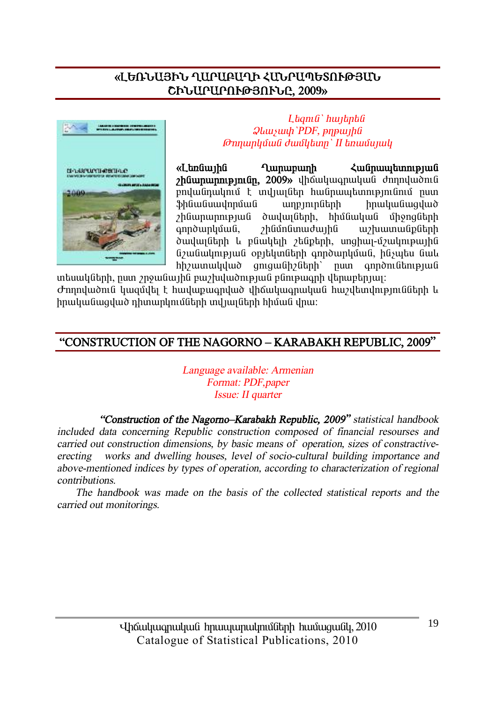# «ԼԵՌՆԱՅԻՆ ՂԱՐԱԲԱՂԻ ՀՄՆՐԱՊԵՏՈՒԹՅՄՆ ՇԻՆԱՐԱՐՈՒԹՅՈՒՆԸ, 2009»



Ltanı G'huntanti **Qluuyuuh** PDF, pnpuuhli Թոոաոկման ժամկետը` II եռամսյակ

«Ltmuunhu **Quinupuinh** humunmpmun, 2009» վիճակագրական ժողովածուն բովանդակում է տվյայներ հանրապետությունում ըստ .<br>.<br>.<br>.<br>.<br>.<br>. hnuluuluuqulud unnungtuh շինարարության dwywigth, հիմնական միջոցների anndunluuua. *rhüünümwdwihü* w/huunwuputnh ծավայների և բնակելի շենքերի, սոցիայ-մշակութային նշանակության օբյեկտների գործարկման, ինչպես նաև hhywunwyylwd qniqwGhyGtph' nun qnnðni utnipjui

տեսակների, ըստ շրջանային բաշխվածության բնութագրի վերաբերյալ։ Ժողովածուն կազմվել է հավաքագրված վիճակագրական հաշվետվությունների և իրականացված դիտարկումների տվյայների հիման վրա։

# "CONSTRUCTION OF THE NAGORNO - KARABAKH REPUBLIC, 2009"

Language available: Armenian Format: PDF, paper Issue: II quarter

"Construction of the Nagorno-Karabakh Republic, 2009" statistical handbook included data concerning Republic construction composed of financial resourses and carried out construction dimensions, by basic means of operation, sizes of constractiveworks and dwelling houses, level of socio-cultural building importance and erecting above-mentioned indices by types of operation, according to characterization of regional *contributions* 

The handbook was made on the basis of the collected statistical reports and the carried out monitorings.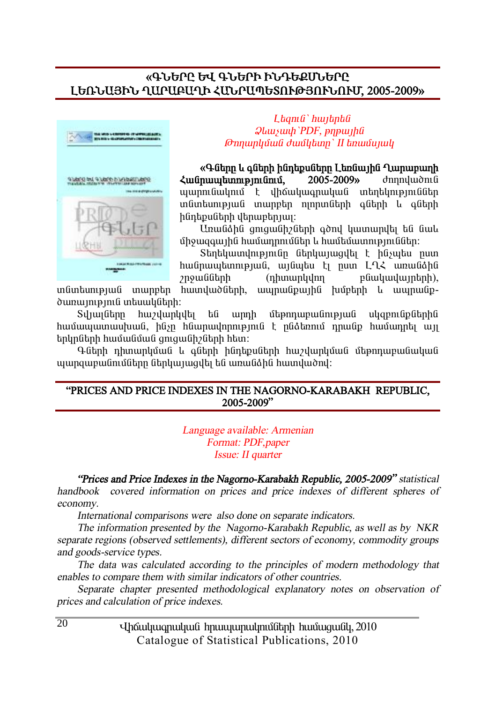#### **§¶ÜºðÀ ºì ¶ÜºðÆ ÆÜ¸ºøêܺðÀ ȺèÜ²ÚÆÜ Ô²ð²´²ÔÆ вÜð²äºîàôÂÚàôÜàôØ, 2005-2009¦**



 $L$ *bamû` hwibnbû*  $Q$ *lauswh*'PDF, *pnpwtha @nnunluvuti duutlunn' II bnuutunuli* 

**§¶Ý»ñÁ ¨ ·Ý»ñÇ ÇÝ¹»ùëÝ»ñÁ È»éݳÛÇÝ Ô³ñ³µ³ÕÇ**  *<u>Հանոաաետությունում. 2005-2009» ժողովածուն*</u> www.muliand t yhowyw.gnwywa wahaynyalaan in Guntun in ina iañ iañ iañ iar iar an iar an iar an duaidh an iad an thüntipuütinh ytinuptingun:

Unwüðhü gnigwühzütinh aðni ywinwnylti tú úwl միջազգային համադրումներ և համեմատություններ։

Stintyuunun pinun ütinyuunun tahar kutuman kutu hանրապետության, այնպես էլ ըստ ԼՂՀ առանձին  $p$ i $p$ u $\hat{a}$ ianh (nhuunlulnn p $\hat{a}$ luluuluunlunh), in Guntun pu Gol un mehman huun dubah ku un mehman ku mengu di dun di dun di mengu di dununnpinia intuuluutah:

Sվյայները հաշվարկվել են արդի մեթոդաբանության սկզբունքներին hամաասատասխան, ինչը hնարավորություն է ընձեռում դրանք համադրել այլ tınynütinh hwu wu du qonqwu helin http:

Գների դիտարկման և գների ինդեթսների իաշվարկման մեթրուսբյանական ujungwewüntüğtinn ütinli maaltı ti umuli öhü humdurdiri

#### **"PRICES AND PRICE INDEXES IN THE NAGORNO-KARABAKH REPUBLIC, 2005-2009"**

*Language available: Armenian Format: PDF,paper Issue: II quarter*

*"Prices and Price Indexes in the Nagorno-Karabakh Republic, 2005-2009" statistical handbook covered information on prices and price indexes of different spheres of economy.* 

*International comparisons were also done on separate indicators.* 

*The information presented by the Nagorno-Karabakh Republic, as well as by NKR separate regions (observed settlements), different sectors of economy, commodity groups and goods-service types.* 

*The data was calculated according to the principles of modern methodology that enables to compare them with similar indicators of other countries.* 

*Separate chapter presented methodological explanatory notes on observation of prices and calculation of price indexes.* 

> Uhauluugnuluua hnuuununulmuath huuuquall, 2010 Catalogue of Statistical Publications, 2010

 $\overline{20}$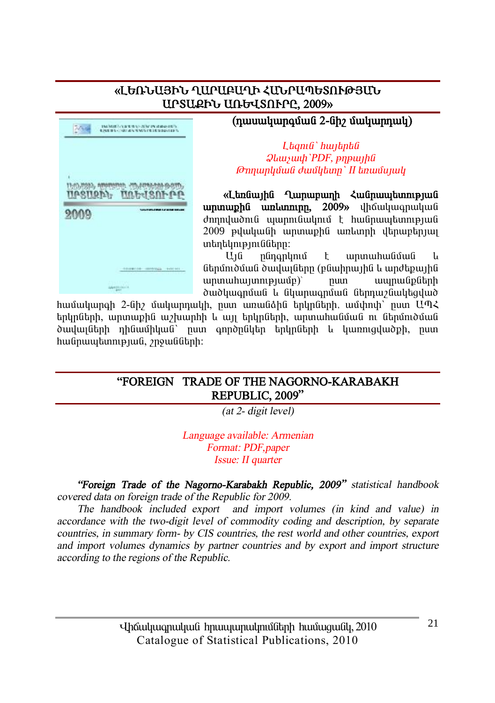#### «ԼԵՌՆԱՅԻՆ ՂԱՐԱԲԱՂԻ ՀԱՆՐԱՊԵՏՈՒԹՅԱՆ **UPSURFL ULGUSNFPL, 2009»**

**Artist** TRANSFERENCE OF CONTRACTOR 1500-2020, AMARISON, 215-ADM-6-509-5-000-UPSURD, UAbdSAFPP 2009 ------------------------------**Alegnonia** 

# ${\bf (nuuu\nu pqu\nu qu62-fi\rho}$ <br> **E**

#### L*tamû`hwitptû*  $Q$ *lauswah PDF*, *pnpwtha <i><u></u>∂mnunlıմwն ∂wմկետը` II եռամսյակ*

«Ltnaunha Qunununh **Zuanuuntunn unuuphü ununnin, 2009**» dhouduuqnuud  $d$ nnnlu $\delta$ nı $\theta$  www.musulmus  $\epsilon$  hw $\theta$ nww.tunnup 2009 pululuu Gh ununuph Gunlunnh uthuuptinuu untabula in Gütinn:

U16 plingpynu t wpww.hwlidwli ներմուծման ծավայները (բնաիրային և արժեքային  $unin$ unnunnunnun $unii$ <sup>o</sup>nun  $ununit$ ðwð ywanuu l úlywnwanuu übnnw huyfun

hամակարգի 2-նիշ մակարդակի, ըստ առանձին երկրների, ամփոփ՝ ըստ ԱՊՀ երկըների, արտաքին աշխարհի և այլ երկըների, արտահանման ու ներմուծման ծավայների դինամիկան՝ ըստ գործընկեր երկըների և կառուցվածքի, ըստ hw Gnuu u tunn pu G, 2 po w Guth!

#### **"FOREIGN TRADE OF THE NAGORNO-KARABAKH REPUBLIC, 2009"**

*(at 2- digit level)* 

*Language available: Armenian Format: PDF,paper Issue: II quarter*

*"Foreign Trade of the Nagorno-Karabakh Republic, 2009" statistical handbook covered data on foreign trade of the Republic for 2009.* 

*The handbook included export and import volumes (in kind and value) in accordance with the two-digit level of commodity coding and description, by separate countries, in summary form- by CIS countries, the rest world and other countries, export and import volumes dynamics by partner countries and by export and import structure according to the regions of the Republic.*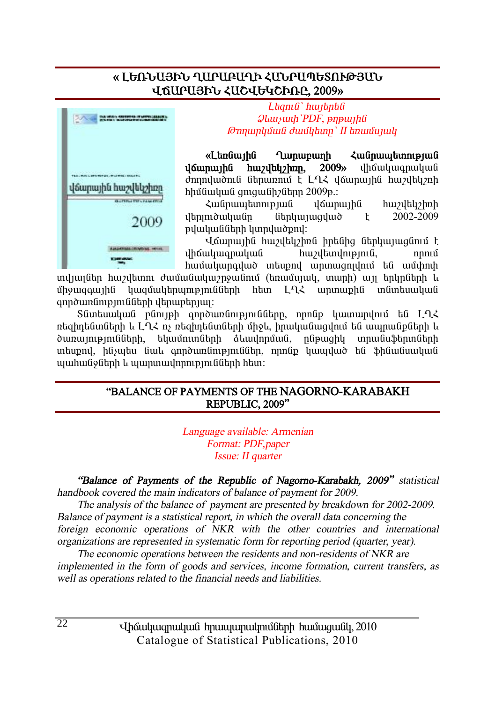#### « ԼԵՌՆԱՅԻՆ ՂԱԲԱՔԱՂԻ ՀՄՆԲԱՊԵՏՈՒԹՅԱՆ *<u>UGUPUSPy ZUCJUGGPDPP.</u>*



 $L$ *banı G`hwibnbû*  $Q$ *luuywyh PDF*, *pnpwyhfi @nyupyûwû dwûytap' II tanwûywy* 

«Լեռնային Ղարաբաղի Հանրապետության *i***lounuiha huziltuzhon, 2009**» ilhouluuq huluu dnnnyudnia atnunnia t LLX younuiha huzytyzh hhu Guyu Gungwah bhu 2009 p.:

гÝñ³å»ïáõÃÛ³Ý í׳ñ³ÛÇÝ ѳßí»ÏßÇéÇ  $u$ <sub>t</sub> uting the distribution of  $\mu$  and  $\mu$  and  $\mu$  and  $\mu$  and  $\mu$  and  $\mu$  and  $\mu$  and  $\mu$  and  $\mu$  and  $\mu$  and  $\mu$  and  $\mu$  and  $\mu$  and  $\mu$  and  $\mu$  and  $\mu$  and  $\mu$  and  $\mu$  and  $\mu$  and  $\mu$  and  $\mu$  and pywywGGtph yundwornd:

Վճարային հաշվեկշիռն իրենից ներկայացնում է yho uluqnuquu huzultuqnuqnuq, huzultuqnuq qho qorning qho qorning qho qorning qho qorning qho qorning qho qorni hամակարգված տեսքով արտագոյվում են ամփոփ

ing mang bin bir birinin başkı bir birinin birinin bir birinin birinin birinin birinin birinin birinin bir bir ůhowgawihû luyquultanynyennGGtah htun LA2 wnunwphG inGintawywG  $qn$ λωπίδη εξαπολείδα τη θεσπαιρία της προϊόνησης της εξαπολείδα της προϊόνησης της προϊόνησης της προϊόνησης τ

Sûmbuwywű pünyeh annownünyennüübnn, nnnüp ywnwyynu tú LOL  $n$ եցիոենտների և L $\Omega$ Հ ոչ ռեցիոենտների միջև, իրականացվում են ապոանքների և ð ununn pmli linn, bluunnu að heynni bluunni þróður þóður þróður þróður þróður í þr տեսթով, ինչպես նաև գործառնություններ, որոնթ կապված են ֆինանսական ujuhu Golitnh l wunun wunning in Glitnh hay:

#### **"BALANCE OF PAYMENTS OF THE NAGORNO-KARABAKH REPUBLIC, 2009"**

*Language available: Armenian Format: PDF,paper Issue: II quarter* 

*"Balance of Payments of the Republic of Nagorno-Karabakh, 2009" statistical handbook covered the main indicators of balance of payment for 2009.* 

*The analysis of the balance of payment are presented by breakdown for 2002-2009. Balance of payment is <sup>a</sup> statistical report, in which the overall data concerning the foreign economic operations of NKR with the other countries and international organizations are represented in systematic form for reporting period (quarter, year).* 

*The economic operations between the residents and non-residents of NKR are implemented in the form of goods and services, income formation, current transfers, as well as operations related to the financial needs and liabilities.* 

> Uhauluugnuluua hnuuununulmuath huuuquall, 2010 Catalogue of Statistical Publications, 2010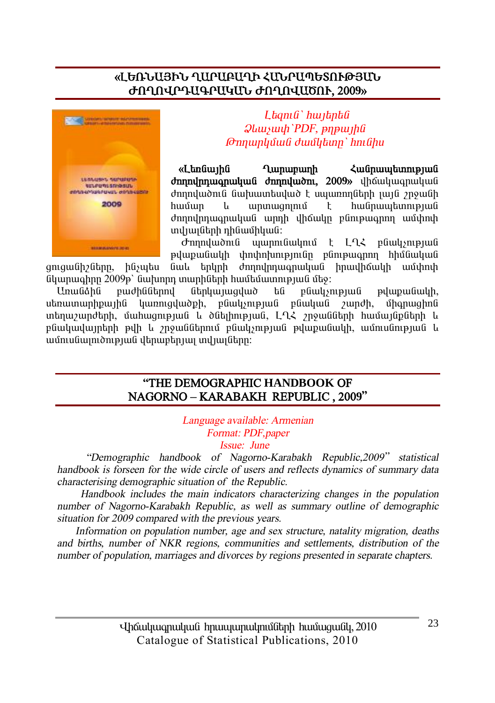# «ԼԵՌՆԱՅԻՆ ՂԱՐԱԲԱՂԻ ՀՄՆՐԱՊԵՏՈՒԹՅԱՆ ԺՈՂՈՎՐԴԱԳՐԱԿԱՆ ԺՈՂՈՎԱԾՈՒ, 2009»



Ltanı G'huntanta  $Q$ *luusuuli* PDF,  $p$ n $p$ *uulifu* Թողարկման ժամկետը` hnւնիս

«Ltmuunhu **Tunupunh** *<u><b>Հանոաաետության</u>* ժողովածուն նախատեսված է սպառողների լայն շրջանի  $ununuannu$ hudnumbunnenud huuun  $\mathbf{u}$  $\mathsf{F}$ ժողովրդագրական արդի վիճակը բնութագրող ամփոփ տվյայների դինամիկան:

Ժողովածուն պարունակում է ԼՂՀ բնակչության թվաթանակի փոփոխությունը բնութագրող հիմնական նաև երկրի ժողովրդագրական իրավիճակի ամփոփ gnigwühzütinn, hüsultu նկարագիրը 2009թ՝ նախորդ տարիների համեմատության մեջ:

Unwüähü բաժիններով *f*tpluymqlud են բնակչության pylupuu Gulp, utmuunun hpuu hu luunnuq uud ph, բնակչության բնական 2 undh, *u*hanwahnu տեղաշարժերի, մահացության և ծնելիության, ԼՂՀ շրջանների համայնքների և բնակավայրերի թվի և շրջաններում բնակչության թվաթանակի, ամուսնության և ամուսնալուծության վերաբերյալ տվյալները։

#### "THE DEMOGRAPHIC HANDBOOK OF NAGORNO-KARABAKH REPUBLIC, 2009"

Language available: Armenian Format: PDF, paper

Issue: June

"Demographic handbook of Nagorno-Karabakh Republic, 2009" statistical handbook is forseen for the wide circle of users and reflects dynamics of summary data characterising demographic situation of the Republic.

Handbook includes the main indicators characterizing changes in the population number of Nagorno-Karabakh Republic, as well as summary outline of demographic situation for 2009 compared with the previous years.

Information on population number, age and sex structure, natality migration, deaths and births, number of NKR regions, communities and settlements, distribution of the number of population, marriages and divorces by regions presented in separate chapters.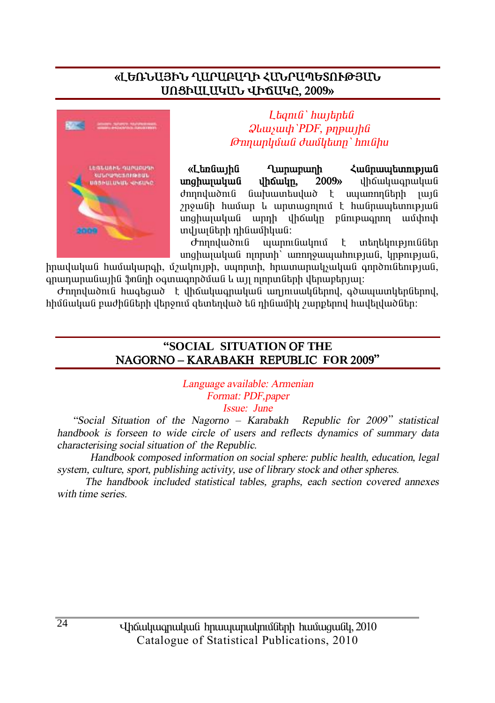### «ԼԵՌՆԱՅԻՆ ՂԱՐԱԲԱՂԻ ՀՄՆՐԱՊԵՏՈՒԹՅՄՆ UNSPULUYULT UPAUYP. 2009»



Ltanı G'hwitntü  $Q$ *luusuu* $h$  PDF,  $p$ n $p$ *u* $h$ *fi* Թողարկման ժամկետը` hnւնիս

«Ltmuunhu **Lunununh** *<u><b>Հանոաաետության</u>* unahwuuluu G dhówun. 2009<sub>b</sub> dhowluuqnwluu dnnnyundin fi  $\lim$ huuntulu $\delta$   $\uparrow$  uununnn $\lim$ h uung շրջանի համար և արտացոյում է հանրապետության սոցիալական արդի վիճակը բնութագրող ամփոփ տվյայների դինամիկան:

աարունակում t untintum pini Gütin *d*mnyudnıl unghunuluu nnnun unnnowwuhnipuu luppnipuu l

իրավական համակարգի, մշակույթի, սպորտի, հրատարակչական գործունեության, գրադարանային ֆոնդի օգտագործման և այլ ոլորտների վերաբերյալ։

Ժողովածուն հագեցած է վիճակագրական աղյուսակներով, գծապատկերներով, հիմնական բաժինների վերջում զետեղված են դինամիկ շարքերով հավելվածներ։

#### "SOCIAL SITUATION OF THE NAGORNO-KARABAKH REPUBLIC FOR 2009"

Language available: Armenian Format: PDF, paper Issue: June

"Social Situation of the Nagorno – Karabakh Republic for 2009" statistical handbook is forseen to wide circle of users and reflects dynamics of summary data characterising social situation of the Republic.

Handbook composed information on social sphere: public health, education, legal system, culture, sport, publishing activity, use of library stock and other spheres.

The handbook included statistical tables, graphs, each section covered annexes with time series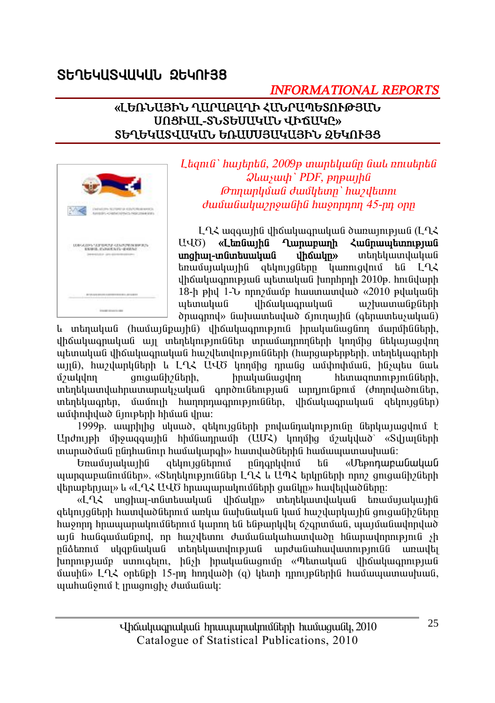# Statulsullulli 2tunt38

# **INFORMATIONAL REPORTS**

#### «ԼԵՌՆԱՅԻՆ ՂԱՐԱԲԱՂԻ ՀԱՆՐԱՊԵՏՈՒԹՅԱՆ UNSPUL-SLSGUUGULL UPQUGC» SGAGYUSYUYUN, GAUUTIBUYUBN, OGYANSS



Ltanıli` hwitintli, 2009p inuntiliyilin liwli nniytintli  $Q$ *luusuuli* PDF,  $p$ n $p$ *uuliu* **Թոոաոկման ժամկետը**՝ hwyllunn dunungungkan dunungkan di dunungkan di dunungkan di dunungkan di dunungkan di dunungkan di dunungkan di dunung<br>Kabupatèn di dunungkan di dunungkan di dunungkan di dunungkan di dunungkan di dunungkan di dunungkan di dunung

 $L_1$  + Let  $\alpha$  and the unique multiple in the unit of the unit of the Let  $L_1$  $U\Gamma$ «Լեռնային Ղարաբաղի Հանրապետության unghun-muntumunung dhowulm» տեղեկատվական եռամսյակային ցեկույցները կառուզվում են  $192$ dhowywannyuwa wamuyuwa hinphini 2010p. hni adunh 18-h phy 1-b nnn putuun huuun uunduud «2010 puuuuuun պետական **dhowluugnwywG** w/huumwuputnh onwonny» նախատեսված ճյուղային (գերատեսչական)

և տեղական (համայնքային) վիճակագրություն իրականացնող մարմինների, վիճակագրական այլ տեղեկություններ տրամադրողների կողմից նեկայացվող պետական վիճակագրական հաշվետվությունների (հարցաթերթերի, տեղեկագրերի այլն), հաշվարկների և ԼՂՀ ԱՎԾ կողմից դրանց ամփոփման, ինչպես նաև *u*/wuulnn gnigwGh2Gtnh. hnuluuGuuqlnn htunugnunnup müütnh, տեղեկատվահրատարակչական գործունեության արդյունքում (ժողովածուներ, տեղեկագրեր, մամուլի հաղորդագրություններ, վիճակագրական զեկույզներ) ամփոփված նյութերի հիման վրա:

1999թ. ապրիլից սկսած, ցեկույցների բովանդակությունը ներկայացվում է Undnyeh միջազգային հիմնադրամի (UUՀ) կողմից մշակված՝ «Տվյայների տարածման ընդհանուր համակարգի» հատվածներին համապատասխան:

Եռամսյակային ցեկույցներում րնդգրկվում են «Մեթոդաբանական այսոցաբանումներ», «Տերեկություններ LՂՀ և UՊՀ երկոների որը շուցանիշների  $d$ երաբերյայ» և «ԼՂՀ ԱՎԾ հրապարակումների ցանկը» հավելվածները։

«Լ-ՂՀ սոցիալ-տնտեսական վիճակը» տեղեկատվական եռամսյակային ցեկույցների հատվածներում առկա նախնական կամ հաշվարկային ցուցանիշները հաջորդ հրապարակումներում կարող են ենթարկվել ճշգրտման, պայմանավորված այն հանգամանքով, որ հաշվետու ժամանակահատվածը հնարավորություն չի սկզբնական տեղեկատվության արժանահավատությունն րնձեռում առավել  $\mu$ որությամբ ստուգելու, ինչի իրականացումը «Պետական վիճակագրության մասին» L-ՂՀ օրենթի 15-րդ հոդվածի (g) կետի դրույթներին համապատասխան, պահանջում է լրացուցիչ ժամանակ: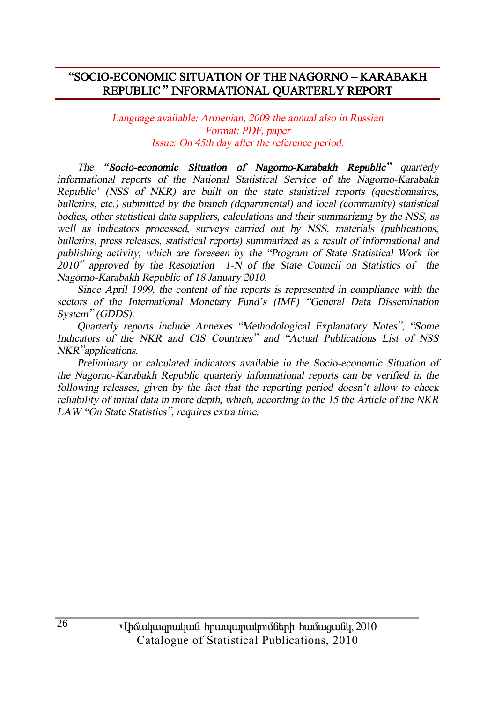#### "SOCIO-ECONOMIC SITUATION OF THE NAGORNO - KARABAKH REPUBLIC" INFORMATIONAL OUARTERLY REPORT

Language available: Armenian, 2009 the annual also in Russian Format: PDF, paper Issue: On 45th day after the reference period.

The "Socio-economic Situation of Nagorno-Karabakh Republic" quarterly informational reports of the National Statistical Service of the Nagorno-Karabakh Republic' (NSS of NKR) are built on the state statistical reports (questionnaires, bulletins, etc.) submitted by the branch (departmental) and local (community) statistical bodies, other statistical data suppliers, calculations and their summarizing by the NSS, as well as indicators processed, surveys carried out by NSS, materials (publications, bulletins, press releases, statistical reports) summarized as a result of informational and publishing activity, which are foreseen by the "Program of State Statistical Work for 2010" approved by the Resolution 1-N of the State Council on Statistics of the Nagorno-Karabakh Republic of 18 January 2010.

Since April 1999, the content of the reports is represented in compliance with the sectors of the International Monetary Fund's (IMF) "General Data Dissemination System" (GDDS).

Quarterly reports include Annexes "Methodological Explanatory Notes", "Some Indicators of the NKR and CIS Countries" and "Actual Publications List of NSS NKR "applications.

Preliminary or calculated indicators available in the Socio-economic Situation of the Nagorno-Karabakh Republic quarterly informational reports can be verified in the following releases, given by the fact that the reporting period doesn't allow to check reliability of initial data in more depth, which, according to the 15 the Article of the NKR LAW "On State Statistics", requires extra time.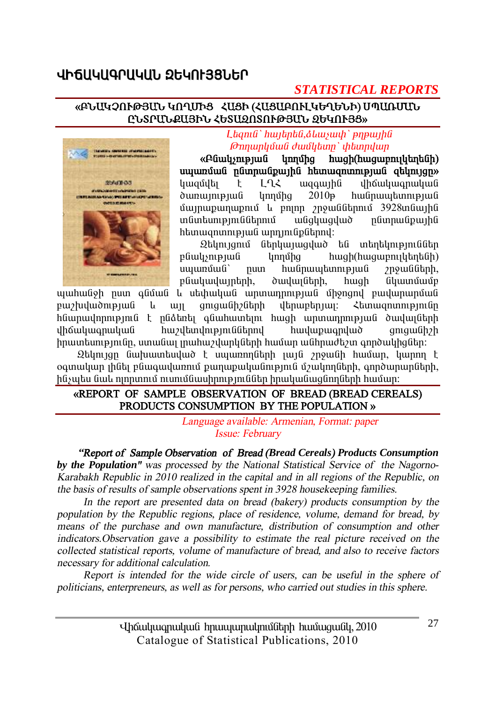# ՎԻճՍԿՍԳՐՍԿՍՆ ՋԵԿՈԷՅՑՆԵՐ

# **STATISTICAL REPORTS**

#### «ԲՆԱԿՉՈՒԹՅԱՆ ԿՈՂՄԻՑ ՀԱՑԻ (ՀԱՑԱԲՈՒԼԿԵՂԵՆԻ) ՄՊԱՌՄԱՆ ԸՆՏՐՄՆՔԱՅԻՆ ՀԵՏԱՁՈՏՈՒԹՅԱՆ ՁԵԿՈՒՅՑ»



L tanı G'huntant G. Alaysun bir bir bir bir bir Թողարկման ժամկետը` փետրվար

«Pliulusmonuli lınnına huigh(huiguinnighthaba) uyumuw ngunungiya hanyon na qaynigan վիճակագրական **l**uuauultu LN2 wqqwjhû t dunumpuu hwunwutunnipiwu lınnuna  $2010<sub>B</sub>$  $\mathfrak{u}$ unupunupn $\mathfrak{u}$   $\mathfrak{u}$  pninn  $\mathfrak{y}$ n pulitinnul 3928 unitupli **un Guntum population** wuduwaywo nfimmufipuuhfi htunwqnunnpuua wnniniapatnny:

Զեկույցում ներկայացված են տեղեկություններ phulynipjuh **l**innung hwgh(hwgwpnylthptGh) hwunwwtunnipjwu num 2n9wuGutnh, pliwywywintnh, dwywigth. hwgh նկատմամբ

պահանջի ըստ գնման և սեփական արտադրության միջոցով բավարարման բաշխվածության **u**  $\frac{1}{2}$ qniquilh<sub>2</sub>litinh վերաբերյայ։ Հետազոտությունը <u>հնարավորություն է ընձեռել գնահատելու հազի արտադրության ծավայների </u> dhowluuqnuuuu hwydandniginiathnul huuluupuu anduud qnıquı üh?h իրատեսությունը, ստանալ լրահաշվարկների համար անհրաժեշտ գործակիզներ։

Զեկույզը նախատեսված է սպառողների լայն շրջանի համար, կարող է օգտակար լինել բնագավառում քաղաքականություն մշակողների, գործարարների, ինչպես նաև ոլորտում ուսումնասիրություններ իրականացնողների համար։

#### «REPORT OF SAMPLE OBSERVATION OF BREAD (BREAD CEREALS) PRODUCTS CONSUMPTION BY THE POPULATION »

Language available: Armenian, Format: paper Issue: February

"Report of Sample Observation of Bread (Bread Cereals) Products Consumption by the Population" was processed by the National Statistical Service of the Nagorno-Karabakh Republic in 2010 realized in the capital and in all regions of the Republic, on the basis of results of sample observations spent in 3928 housekeeping families.

In the report are presented data on bread (bakery) products consumption by the population by the Republic regions, place of residence, volume, demand for bread, by means of the purchase and own manufacture, distribution of consumption and other indicators. Observation gave a possibility to estimate the real picture received on the collected statistical reports, volume of manufacture of bread, and also to receive factors necessary for additional calculation.

Report is intended for the wide circle of users, can be useful in the sphere of politicians, enterpreneurs, as well as for persons, who carried out studies in this sphere.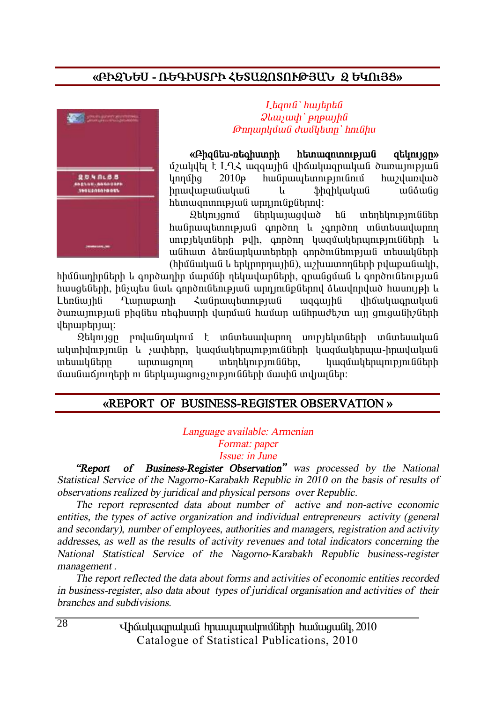# **§´Æ¼Üºê - 躶ÆêîðÆ Ðºî²¼àîàôÂÚ²Ü ¼ ºÎàõÚò¦**



#### $L$ *banı* $G$ *` hwibnbû*  $\mathcal{Q}$ *liwiwih* ` pnpwiha` *@nnunluvuli duulltunn* hni Ghu

**§´Ç½Ý»ë-é»·ÇëïñÇ Ñ»ï³½áïáõÃÛ³Ý ½»ÏáõÛóÁ¦**

ΰ *z*ulylla է L L ζ ως αμβά ι h δω μωριωμαί δω προσπά  $l$ innu $\delta$ nda  $l$  2010 $\beta$  hui  $l$ înnu burbahari nu burbaha burbaha burbaha du burbaha du burbaha du burbaha du burbaha du burbaha du burbaha du burbaha du burbaha du burbaha du burbaha du burbaha du burbaha du burbaha d hnwywpw uliwy i bhqhywyw i w uliow y htunwqnunnppuli wpnintiplitinnl:

 $2$ եկույզում ներկայազված են տեղեկություններ hw Gnuu tunnyu G qnndnn l sqnndnn un Guntu wunnn unipityuütah puh, annonn ywadwythwinipiniadtah u w Ghuun at bu Gundu waha han pendikan pula waku da hu (hhu Guyu Gu talynn mulh G), un huunn hutah pulup wu Guyh,

hhմնաnhnների և գործադիր մարմնի ղեկավարների, գրանցման և գործունեության <u>hասցեների, ինչպես նաև գործունեության արդյունքներով ձևավորված իասույթի և </u> Lanնային Ղարաբաղի Հանրապետության ազգային վիճակագրական  $\delta$ առայության բիզնես ռեգիստրի վարման համար անհրաժեշտ այլ ցուցանիշների  $\psi$ ulgauphan

 $\Omega$ եկույցը բովանդակում է տնտեսավարող սուբյեկտների տնտեսական ակտիվությունը և չափերը, կազմակերպությունների կազմակերպա-իրավական wեսակները արտագոլող տեղեկություններ, կազմակերպությունների <u>մասնաճյուղերի ու ներկայացուցչությունների մասին տվյայներ։</u>

#### **§REPORT OF BUSINESS-REGISTER OBSERVATION ¦**

*Language available: Armenian Format: paper Issue: in June* 

 *"Report of Business-Register Observation" was processed by the National Statistical Service of the Nagorno-Karabakh Republic in <sup>20</sup>1<sup>0</sup> on the basis of results of observations realized by juridical and physical persons over Republic.* 

 *The report represented data about number of active and non-active economic entities, the types of active organization and individual entrepreneurs activity (general and secondary), number of employees, authorities and managers, registration and activity addresses, as well as the results of activity revenues and total indicators concerning the National Statistical Service of the Nagorno-Karabakh Republic business-register management .* 

 *The report reflected the data about forms and activities of economic entities recorded in business-register, also data about types of juridical organisation and activities of their branches and subdivisions.* 

> Uhauluugnuluu hnuuunulmuumulinh huuuquuul, 2010 Catalogue of Statistical Publications, 2010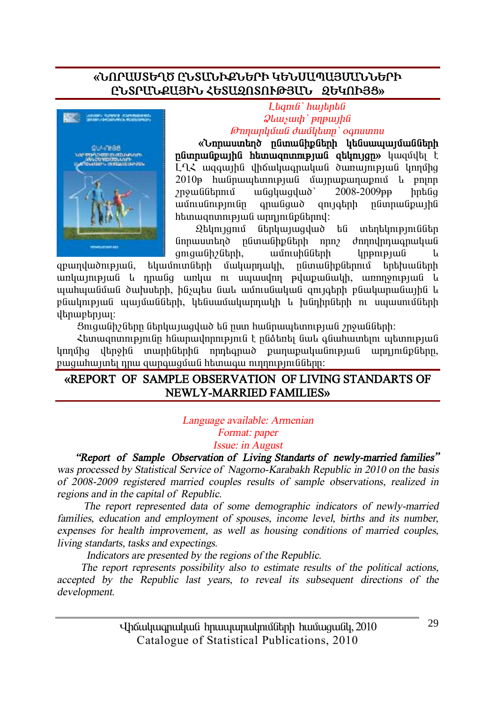# «ՆՈՐԱՍՏԵՂԾ ԸՆՏՄՆՒՔՆԵՐԻ ԿԵՆՍԱՊԱՅՄՄՆՆԵՐԻ ԸՆՏՐՄՆՔԱՅԻՆ ՀԵՏԱՁՈՏՈՒԹՅԱՆ ՁԵԿՈՒՅՑ»



Lagma' hunanta  $\mathcal{Q}$ *luusuuh* 'pnpuuha **Onnunluulu duuluun** oqnuunnu

«*Linnumunting ngunughpatinh utgumumungmggtinh* pumpuu upu hti http://www.phyton.com/manusumanity/ LL2 wggwiha yhowywgnwywa dwnwintpiwa ynnyho  $2010$ p hw Gnuw tunn pu G u Guin w Dunn U Guinn շրջաններում wfighwayud' 2008-2009 в hnaGa  $\overline{\mathbf{u}}$ uunu $\mathbf{u}$ inununun  $anu$ anı atınh nümnu üpunlu  $h$ tunuuqnunnupuud unnunudputnnul:

ներկայացված են տեղեկություններ Զեկույցում նորաստեղծ ընտանիքների որոշ ժողովրդագրական qniquilh?litinh, ամուսինների կրթության 1.

qpumduompuua.  $t$ կամուտների մակարդակի, ընտանիքներում երեխաների առկայության և դրանց առկա ու սպասվող թվաքանակի, առողջության և պահպանման ծախսերի, ինչպես նաև ամուսնական ցույգերի բնակարանային և բնակության պայմանների, կենսամակարդակի և խնդիրների ու սպասումների dtnuptnuu:

Ցուցանիշները ներկայացված են ըստ հանրապետության շրջանների։

Հետացոտությունը հնարավորություն է ընձեռել նաև գնահատելու պետության կողմից վերջին տարիներին որդեգրած թաղաթականության արդյունքները, բացահայտել դրա զարգացման հետագա ուղղությունները։

#### «REPORT OF SAMPLE OBSERVATION OF LIVING STANDARTS OF NEWLY-MARRIED FAMILIES»

#### Language available: Armenian Format: paper Issue: in August

"Report of Sample Observation of Living Standarts of newly-married families" was processed by Statistical Service of Nagorno-Karabakh Republic in 2010 on the basis of 2008-2009 registered married couples results of sample observations, realized in regions and in the capital of Republic.

The report represented data of some demographic indicators of newly-married families, education and employment of spouses, income level, births and its number, expenses for health improvement, as well as housing conditions of married couples, living standarts, tasks and expectings.

Indicators are presented by the regions of the Republic.

The report represents possibility also to estimate results of the political actions, accepted by the Republic last years, to reveal its subsequent directions of the development.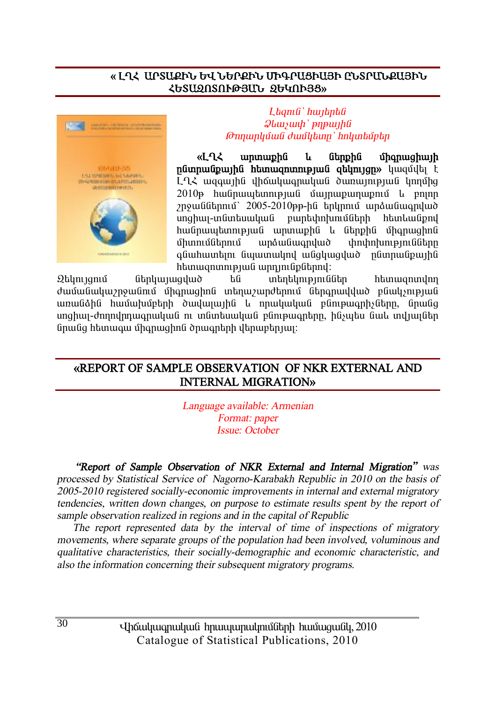#### **§ ÈÔÐ ²ðî²øÆÜ ºì ܺðøÆÜ ØÆ¶ð²òÆ²ÚÆ ÀÜîð²Üø²ÚÆÜ ՀԵՏԱՁՈՏՈՒԹՅԱՆ ՁԵԿՈՒՅՑ»**



#### $L$ *bamû` hwibnbû*  $Q$ *lauswh* ` pnpwihli *<i><u>* $\theta$ *mnunlyuuli duullytunn' hnlyutuliptin*</u>

**&LOE ununuph lu Ghnph Company of Shanuphurh** numun **Ázið karakara hefur að hefur að hefur að hefur að hefur að hefur að hefur að hefur að hefur að hefur að**  $L$ <sup>2</sup> $\zeta$  we avail the unique interest in the unique that  $L$  $2010$ թ hwanwytunnipjwa uninwownyniu u phin  $p$ յոջաններում` 2005-2010թթ-ին երկրում արձանագրված unghuu-in Guntuu undi na puntuh nu hungu hunggalan bulu dipind hանրապետության արտաքին և ներքին միգրացիոն<br>միտումներում արձանագրված փոփոխությունները úhunnu ú handi eð það handi eð handi eð handi hann hefar handi eða þegar hefða þar hefða það hefða hefða hefða q Gu huuntin Gu uunulin uu Galiwayud namu Gpu ha htunuqnunnpuua unnungpatnny:

 $\Omega$ եկույցում ներկայազված են տեղեկություններ հետացոտվող dwüwGwywynywGmű űhqnwqhnG wtinwywndtinni Gtingnwyywo pGwynipjwG առանձին համախմբերի ծավայային և որակական բնութագրիչները, նրանց unghwi-ðnnnyhnwonwywG ni wawawwwG panipwontinn, haywau awy wyjwiatn Gnugg hanwaw Ghanwahng dhuanah dan upanjuj:

### **§REPORT OF SAMPLE OBSERVATION OF NKR EXTERNAL AND INTERNAL MIGRATION¦**

*Language available: Armenian Format: paper Issue: October* 

 *"Report of Sample Observation of NKR External and Internal Migration" was processed by Statistical Service of Nagorno-Karabakh Republic in 2010 on the basis of 2005-2010 registered socially-economic improvements in internal and external migratory tendencies, written down changes, on purpose to estimate results spent by the report of sample observation realized in regions and in the capital of Republic* 

 *The report represented data by the interval of time of inspections of migratory movements, where separate groups of the population had been involved, voluminous and qualitative characteristics, their socially-demographic and economic characteristic, and also the information concerning their subsequent migratory programs.*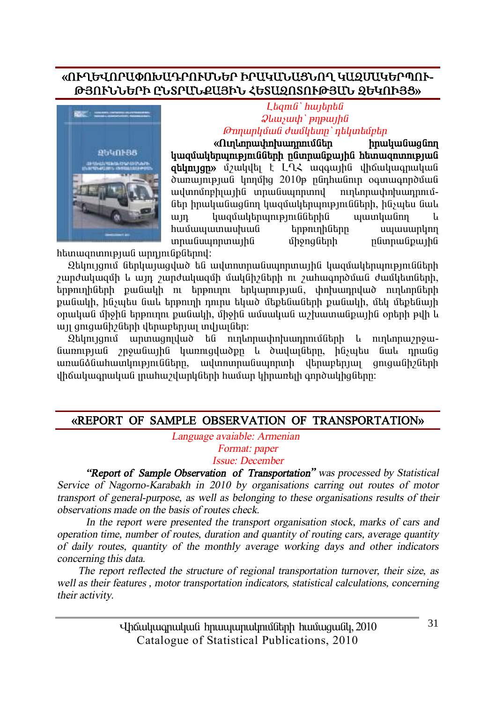# **§àôÔºìàð²öàÊ²¸ðàôØÜºð Æð²Î²Ü²òÜàÔ Î²¼Ø²Îºðäàô-**ԹՅՈՒՆՆԵՐԻ ԸՆՏՐՄՆՔԱՅԻՆ ՀԵՏԱՁՈՏՈՒԹՅՄՆ ՁԵԿՈՒՅՑ»



 $L$ *banı G`hwibnbû*  $\mathcal{D}$ *lawswah* ` *pnpwahû <u><i>* $\theta$ *mpuplyuu <i>duu* lytup' nt yutub </u>

**§àõÕ¨áñ³÷áË³¹ñáõÙÝ»ñ Çñ³Ï³Ý³óÝáÕ**   $\frac{1}{2}$ atunian» *Ú*<sub>2</sub>whula t L-L wagwiha dhawuwanwuwa ðununnpul ynnung 2010 nlinhulinn og nugnnðuul ³íïáÙáµÇɳÛÇÝ ïñ³Ýëåáñïáí áõÕ¨áñ³÷á˳¹ñáõÙներ իրականացնող կազմակերպությունների, ինչպես նաև un կազմակերպություններին պատկանող hամապատասխան երթուղիները սպասարկող ïñ³Ýëåáñï³ÛÇÝ ÙÇçáóÝ»ñÇ ÁÝïñ³Ýù³ÛÇÝ

htunwqnunnpiwa wpnintapathnul:

 $\Omega$ եկույցում ներկայացված են ավտոտրանսպորտային կազմակերպությունների  $2$ արժակազմի և այդ  $2$ արժակազմի մակնի $2$ ների ու  $2$ ահագործման ժամկետների,  $b$ նոթուղիների քանակի ու երթուղու երկարության, փոխադրված ուղևորների pանակի, ինչպես նաև երթուղի դուրս եկած մեթենաների թանակի, մեկ մեթենայի onwywն միջին երթուղու քանակի, միջին ամսական աշխատանքային oրերի թվի և un anıquüh oltah dtinun tanını indi undur.

 $\Omega$ եկույցում արտացոյված են ուղևորափոխադրումների և ուղևորաշրջա-GwnnipjwG znowGwihG ywnnigywden y dwywigghn, hGswtu Gwy nnwGg առանձնահատկությունները, ավտոտրանսպորտի վերաբերյալ գուցանիշների վիճակագրական լրահաշվարկների համար կիրառելի գործակիզները։

#### **§REPORT OF SAMPLE OBSERVATION OF TRANSPORTATION¦**

 *Language avaiable: Armenian Format: paper Issue: December* 

*"Report of Sample Observation of Transportation" was processed by Statistical Service of Nagorno-Karabakh in 2010 by organisations carring out routes of motor transport of general-purpose, as well as belonging to these organisations results of their observations made on the basis of routes check.* 

 *In the report were presented the transport organisation stock, marks of cars and operation time, number of routes, duration and quantity of routing cars, average quantity of daily routes, quantity of the monthly average working days and other indicators concerning this data.* 

 *The report reflected the structure of regional transportation turnover, their size, as well as their features , motor transportation indicators, statistical calculations, concerning their activity.* 

31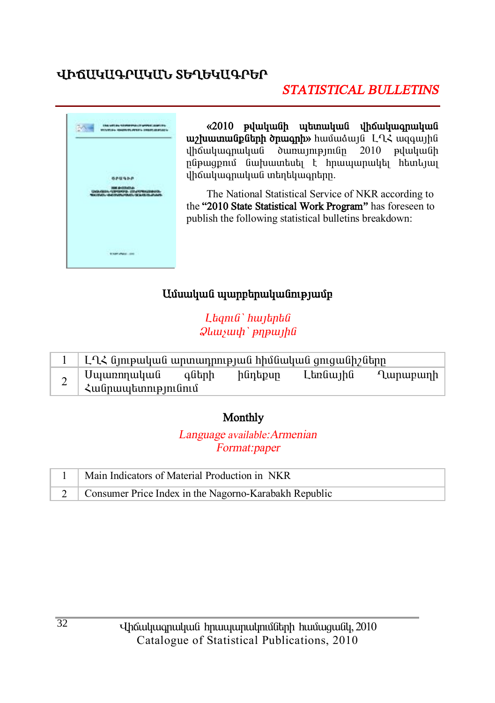# ՎԻՃՍԿՍԳՐՍԿՄՆ ՏԵՂԵԿՍԳՐԵՐ

# **STATISTICAL BULLETINS**



«2010 թվականի պետական վիճակագրական uz huunuu uputah onuu anh huutu atul [1]. վիճակագրական ծառայությունը  $2010$  pyuluuful ընթացքում նախատեսել է հրապարակել հետևյալ ihauluuqnuluud intintiluuqntinn.

The National Statistical Service of NKR according to the "2010 State Statistical Work Program" has foreseen to publish the following statistical bulletins breakdown:

# Ամսական պարբերականությամբ

Ltanı G'hwitntü  $\mathcal{Q}$ *lausuuh* ' pnp $\mu$ 

|   | ԼՂՀ նյութական արտադրության հիմնական ցուցանիշները |       |         |          |          |
|---|--------------------------------------------------|-------|---------|----------|----------|
| ∠ |                                                  | գների | ինդեքսը | Լեռնային | Ղարաբաղի |

### Monthly

Language available: Armenian Format:paper

| Main Indicators of Material Production in NKR           |
|---------------------------------------------------------|
| 2 Consumer Price Index in the Nagorno-Karabakh Republic |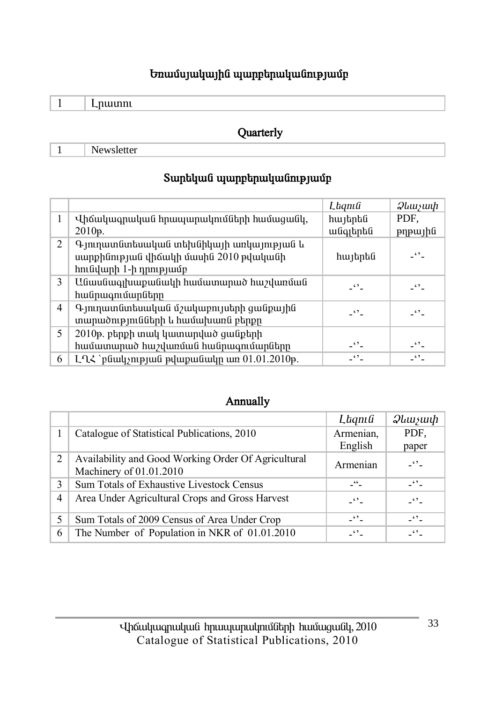# **Եռամսյակային պարբերականությամբ**

 **Quarterly** 

1 Newsletter

# $S$ արեկան պարբերականությամբ

|                |                                                                                                             | Laqnıli              | $\mathcal{Q}$ luu $\mathcal{Y}$ uu $\mathcal{P}$ |
|----------------|-------------------------------------------------------------------------------------------------------------|----------------------|--------------------------------------------------|
|                | Վիճակագրական հրապարակումների համացանկ,                                                                      | հայերեն              | PDF.                                             |
|                | 2010p.                                                                                                      | անգլերեն             | թղթային                                          |
| $\overline{2}$ | Գյուղատնտեսական տեխնիկայի առկայության և<br>սարքինության վիճակի մասին 2010 թվականի<br>հունվարի 1-ի դրությամբ | հայերեն              | $ \cdot$ $\cdot$ $-$                             |
| 3              | Անասնագլխաքանակի համատարած հաշվառման<br>հանրագումարները                                                     | -''-                 | -''-                                             |
| 4              | Գյուղատնտեսական մշակաբույսերի ցանքային<br>տարածությունների և համախառն բերքը                                 | $\ddot{\phantom{0}}$ | $\ddots$                                         |
| 5.             | 2010թ. բերքի տակ կատարված ցանքերի                                                                           |                      |                                                  |
|                | համատարած հաշվառման հանրագումարները                                                                         | $ -$                 | $ \cdot$ $\cdot$ $-$                             |
| 6              | L-ՂՀ `բնակչության թվաքանակը առ 01.01.2010թ.                                                                 | $\ddot{\phantom{0}}$ | $\cdot$ .                                        |

#### **Annually**

|                |                                                     | Lagnia                | $\mathcal{Q}$ <i>llllusuuh</i> |
|----------------|-----------------------------------------------------|-----------------------|--------------------------------|
|                | Catalogue of Statistical Publications, 2010         | Armenian,             | PDF.                           |
|                |                                                     | English               | paper                          |
| 2              | Availability and Good Working Order Of Agricultural | Armenian              | $ \cdot$ $-$                   |
|                | Machinery of 01.01.2010                             |                       |                                |
| 3              | Sum Totals of Exhaustive Livestock Census           | $-$ <sup>44</sup> $-$ | $ \cdot$ $-$                   |
| $\overline{4}$ | Area Under Agricultural Crops and Gross Harvest     | $ \cdot$ $-$          | $ \cdot$ $\cdot$ $-$           |
| 5              | Sum Totals of 2009 Census of Area Under Crop        | $ \cdot$ $-$          | $-10^{14}$                     |
| 6              | The Number of Population in NKR of 01.01.2010       | $\epsilon$            | 62                             |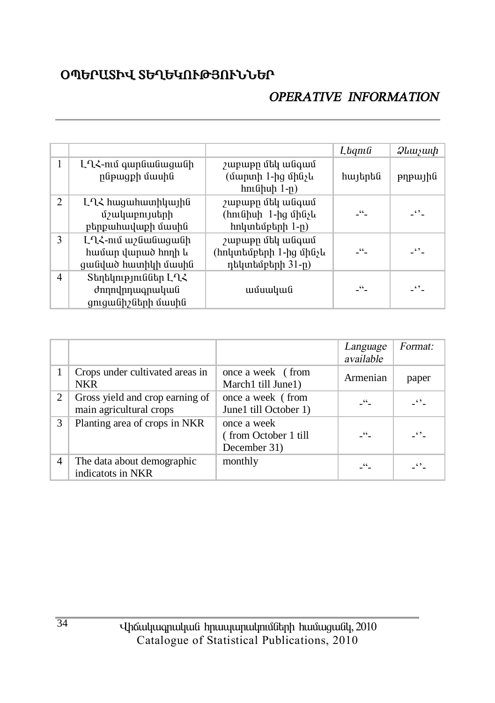# **<u>OՊԵՐԱՏԻՎ ՏԵՂԵԿՈՒԹՅՈՒՆՆԵՐ</u>**

# *OPERATIVE INFORMATION*

|   |                                                                 |                                                                | Laqnıli    | $\mathcal{Q}$ ևաչափ $\parallel$ |
|---|-----------------------------------------------------------------|----------------------------------------------------------------|------------|---------------------------------|
| 1 | ԼՂՀ-ում գարնանացանի<br>րնթացքի մասին                            | շաբաթը մեկ անգամ<br>(մարտի 1-ից մինչև<br>հունիսի 1-ը)          | հայերեն    | pypujhti                        |
| 2 | ԼՂՀ հացահատիկային<br>մշակաբույսերի<br>բերքահավաքի մասին         | շաբաթը մեկ անգամ<br>(հունիսի 1-ից մինչև<br>hnկտեմբերի 1-ը)     | -"-        | -''-                            |
| 3 | ԼՂՀ-ում աշնանացանի<br>համար վարած հողի և<br>ցանված հատիկի մասին | շաբաթը մեկ անգամ<br>(հոկտեմբերի 1-ից մինչև<br>դեկտեմբերի 31-ը) | _"         | -''-                            |
| 4 | Տեղեկություններ ԼՂՀ<br>ժողովրդագրական<br>ցուցանիշների մասին     | ամսական                                                        | $\epsilon$ | $\ddot{\phantom{0}}$            |

|                |                                                            |                                                     | Language<br>available | Format:    |
|----------------|------------------------------------------------------------|-----------------------------------------------------|-----------------------|------------|
|                | Crops under cultivated areas in<br><b>NKR</b>              | once a week (from<br>March1 till June1)             | Armenian              | paper      |
| 2              | Gross yield and crop earning of<br>main agricultural crops | once a week (from<br>June1 till October 1)          | $ -$                  | $-10^{14}$ |
| 3              | Planting area of crops in NKR                              | once a week<br>(from October 1 till<br>December 31) | $-$ 66 $-$            | $-42$      |
| $\overline{4}$ | The data about demographic<br>indicatots in NKR            | monthly                                             | 66                    | 62         |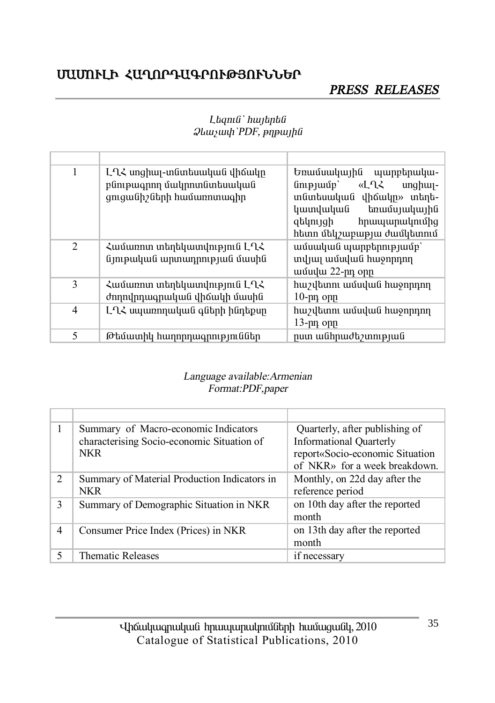# ՄԱՄՈՒԼԻ ՀԱՂՈՐԴԱԳՐՈՒԹՅՈՒՆՆԵՐ

# PRESS RELEASES

| 1 | ԼՂՀ սոցիալ-տնտեսական վիճակը<br>բնութագրող մակրոտնտեսական<br>ցուցանիշների համառոտագիր | Եռամսակային պարբերակա-<br>«LՂՀ<br>$\lim_{p \to \infty}$<br>$unghu -$<br>տնտեսական վիճակը» տեղե-<br>կատվական<br>եռամսյակային<br>զեկույցի<br>հրապարակումից<br>հետո մեկշաբաթյա ժամկետում |
|---|--------------------------------------------------------------------------------------|---------------------------------------------------------------------------------------------------------------------------------------------------------------------------------------|
| 2 | Համառոտ տեղեկատվություն ԼՂՀ<br>նյութական արտադրության մասին                          | ամսական պարբերությամբ`<br>տվյալ ամսվան հաջորդող<br>ամավա 22-րդ օրը                                                                                                                    |
| 3 | Համառոտ տեղեկատվություն ԼՂՀ<br>ժողովրդագրական վիճակի մասին                           | հաշվետու ամսվան հաջորդող<br>$10$ - $\mu$ n opp                                                                                                                                        |
| 4 | ԼՂՀ սպառողական գների ինդեքսը                                                         | հաշվետու ամսվան հաջորդող<br>13-pn opp                                                                                                                                                 |
| 5 | Թեմատիկ հաղորդագրություններ                                                          | րստ անհրաժեշտության                                                                                                                                                                   |

#### Laqnı G`hujantû  $\mathcal{Q}$ *luusuuh* 'PDF, p $\eta$ puyh $\theta$

#### Language available: Armenian Format:PDF,paper

|               | Summary of Macro-economic Indicators<br>characterising Socio-economic Situation of<br><b>NKR</b> | Quarterly, after publishing of<br><b>Informational Quarterly</b><br>report«Socio-economic Situation<br>of NKR» for a week breakdown. |
|---------------|--------------------------------------------------------------------------------------------------|--------------------------------------------------------------------------------------------------------------------------------------|
| $\mathcal{L}$ | Summary of Material Production Indicators in<br><b>NKR</b>                                       | Monthly, on 22d day after the<br>reference period                                                                                    |
| 3             | Summary of Demographic Situation in NKR                                                          | on 10th day after the reported<br>month                                                                                              |
| 4             | Consumer Price Index (Prices) in NKR                                                             | on 13th day after the reported<br>month                                                                                              |
|               | <b>Thematic Releases</b>                                                                         | if necessary                                                                                                                         |